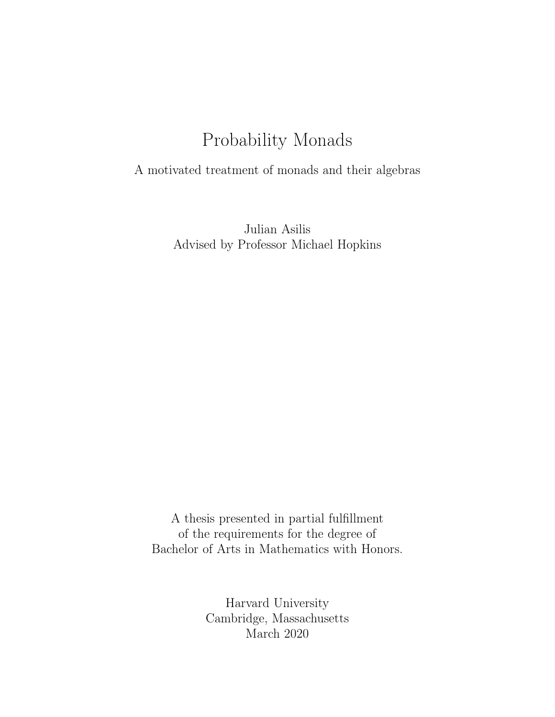### Probability Monads

A motivated treatment of monads and their algebras

Julian Asilis Advised by Professor Michael Hopkins

A thesis presented in partial fulfillment of the requirements for the degree of Bachelor of Arts in Mathematics with Honors.

> Harvard University Cambridge, Massachusetts March 2020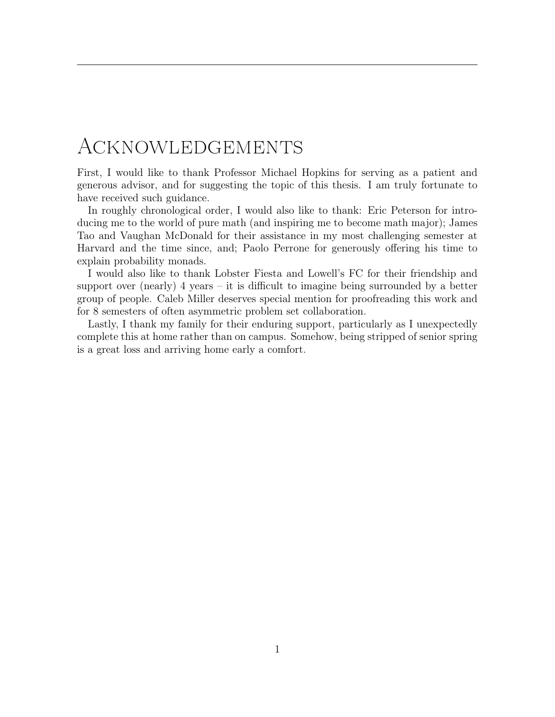# <span id="page-1-0"></span>Acknowledgements

First, I would like to thank Professor Michael Hopkins for serving as a patient and generous advisor, and for suggesting the topic of this thesis. I am truly fortunate to have received such guidance.

In roughly chronological order, I would also like to thank: Eric Peterson for introducing me to the world of pure math (and inspiring me to become math major); James Tao and Vaughan McDonald for their assistance in my most challenging semester at Harvard and the time since, and; Paolo Perrone for generously offering his time to explain probability monads.

I would also like to thank Lobster Fiesta and Lowell's FC for their friendship and support over (nearly) 4 years – it is difficult to imagine being surrounded by a better group of people. Caleb Miller deserves special mention for proofreading this work and for 8 semesters of often asymmetric problem set collaboration.

Lastly, I thank my family for their enduring support, particularly as I unexpectedly complete this at home rather than on campus. Somehow, being stripped of senior spring is a great loss and arriving home early a comfort.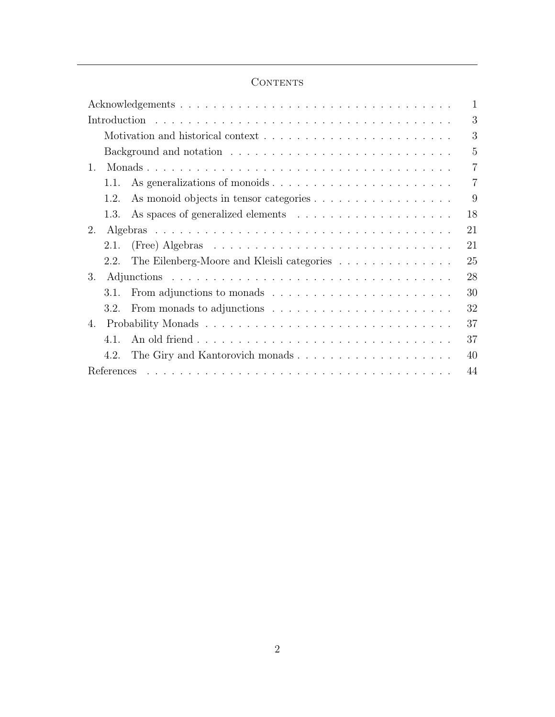### $\mbox{CONTENTS}$

|                                                                                                 | $\mathbf{1}$   |
|-------------------------------------------------------------------------------------------------|----------------|
|                                                                                                 | 3              |
|                                                                                                 | 3              |
|                                                                                                 | 5              |
| 1.                                                                                              | 7              |
| 1.1.                                                                                            | $\overline{7}$ |
| As monoid objects in tensor categories<br>1.2.                                                  | 9              |
| 1.3.                                                                                            | 18             |
| 2.                                                                                              | 21             |
| (Free) Algebras $\ldots \ldots \ldots \ldots \ldots \ldots \ldots \ldots \ldots \ldots$<br>2.1. | 21             |
| The Eilenberg-Moore and Kleisli categories<br>2.2.                                              | 25             |
| 3.                                                                                              | 28             |
| From adjunctions to monads $\dots \dots \dots \dots \dots \dots \dots \dots$<br>3.1.            | 30             |
| 3.2.                                                                                            | 32             |
| 4.                                                                                              | 37             |
| 4.1                                                                                             | 37             |
| 4.2.                                                                                            | 40             |
|                                                                                                 | 44             |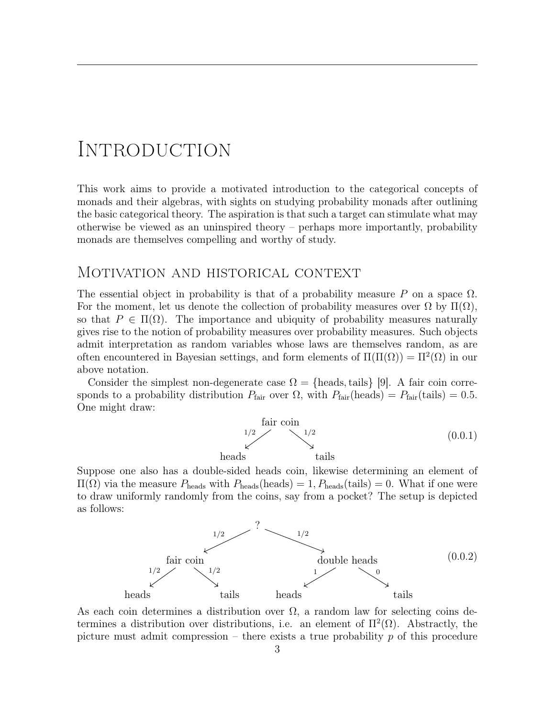## <span id="page-3-0"></span>**INTRODUCTION**

This work aims to provide a motivated introduction to the categorical concepts of monads and their algebras, with sights on studying probability monads after outlining the basic categorical theory. The aspiration is that such a target can stimulate what may otherwise be viewed as an uninspired theory – perhaps more importantly, probability monads are themselves compelling and worthy of study.

### <span id="page-3-1"></span>Motivation and historical context

The essential object in probability is that of a probability measure P on a space  $\Omega$ . For the moment, let us denote the collection of probability measures over  $\Omega$  by  $\Pi(\Omega)$ , so that  $P \in \Pi(\Omega)$ . The importance and ubiquity of probability measures naturally gives rise to the notion of probability measures over probability measures. Such objects admit interpretation as random variables whose laws are themselves random, as are often encountered in Bayesian settings, and form elements of  $\Pi(\Pi(\Omega)) = \Pi^2(\Omega)$  in our above notation.

Consider the simplest non-degenerate case  $\Omega = \{$ heads, tails $\}$  [\[9\]](#page-44-1). A fair coin corresponds to a probability distribution  $P_{\text{fair}}$  over  $\Omega$ , with  $P_{\text{fair}}(\text{heads}) = P_{\text{fair}}(\text{tails}) = 0.5$ . One might draw:

fair coin heads  $1/2 \swarrow \sqrt{1/2}$ (0.0.1)

Suppose one also has a double-sided heads coin, likewise determining an element of  $\Pi(\Omega)$  via the measure  $P_{\text{heads}}$  with  $P_{\text{heads}}$  (heads) = 1,  $P_{\text{heads}}$  (tails) = 0. What if one were to draw uniformly randomly from the coins, say from a pocket? The setup is depicted as follows:

<span id="page-3-2"></span>

As each coin determines a distribution over  $\Omega$ , a random law for selecting coins determines a distribution over distributions, i.e. an element of  $\Pi^2(\Omega)$ . Abstractly, the picture must admit compression – there exists a true probability  $p$  of this procedure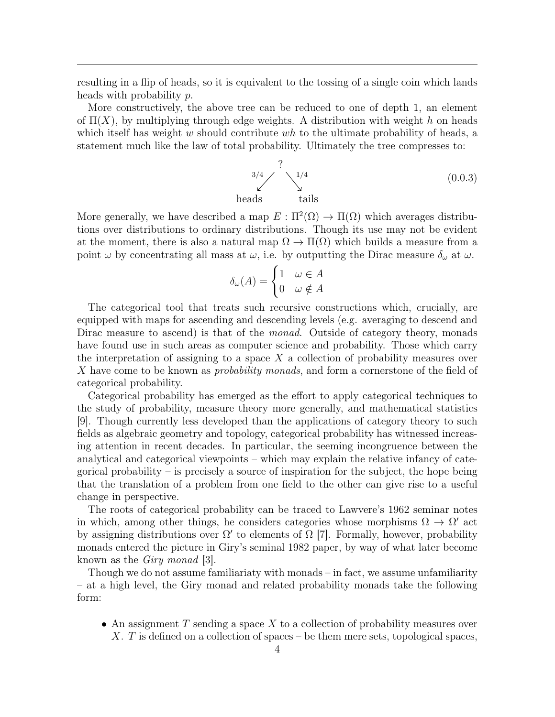resulting in a flip of heads, so it is equivalent to the tossing of a single coin which lands heads with probability p.

More constructively, the above tree can be reduced to one of depth 1, an element of  $\Pi(X)$ , by multiplying through edge weights. A distribution with weight h on heads which itself has weight w should contribute wh to the ultimate probability of heads, a statement much like the law of total probability. Ultimately the tree compresses to:

<span id="page-4-0"></span>? heads tails 3/4 1/4 (0.0.3)

More generally, we have described a map  $E : \Pi^2(\Omega) \to \Pi(\Omega)$  which averages distributions over distributions to ordinary distributions. Though its use may not be evident at the moment, there is also a natural map  $\Omega \to \Pi(\Omega)$  which builds a measure from a point  $\omega$  by concentrating all mass at  $\omega$ , i.e. by outputting the Dirac measure  $\delta_{\omega}$  at  $\omega$ .

$$
\delta_{\omega}(A) = \begin{cases} 1 & \omega \in A \\ 0 & \omega \notin A \end{cases}
$$

The categorical tool that treats such recursive constructions which, crucially, are equipped with maps for ascending and descending levels (e.g. averaging to descend and Dirac measure to ascend) is that of the *monad*. Outside of category theory, monads have found use in such areas as computer science and probability. Those which carry the interpretation of assigning to a space  $X$  a collection of probability measures over X have come to be known as *probability monads*, and form a cornerstone of the field of categorical probability.

Categorical probability has emerged as the effort to apply categorical techniques to the study of probability, measure theory more generally, and mathematical statistics [\[9\]](#page-44-1). Though currently less developed than the applications of category theory to such fields as algebraic geometry and topology, categorical probability has witnessed increasing attention in recent decades. In particular, the seeming incongruence between the analytical and categorical viewpoints – which may explain the relative infancy of categorical probability – is precisely a source of inspiration for the subject, the hope being that the translation of a problem from one field to the other can give rise to a useful change in perspective.

The roots of categorical probability can be traced to Lawvere's 1962 seminar notes in which, among other things, he considers categories whose morphisms  $\Omega \to \Omega'$  act by assigning distributions over  $\Omega'$  to elements of  $\Omega$  [\[7\]](#page-44-2). Formally, however, probability monads entered the picture in Giry's seminal 1982 paper, by way of what later become known as the Giry monad [\[3\]](#page-44-3).

Though we do not assume familiariaty with monads – in fact, we assume unfamiliarity – at a high level, the Giry monad and related probability monads take the following form:

• An assignment  $T$  sending a space  $X$  to a collection of probability measures over X. T is defined on a collection of spaces – be them mere sets, topological spaces,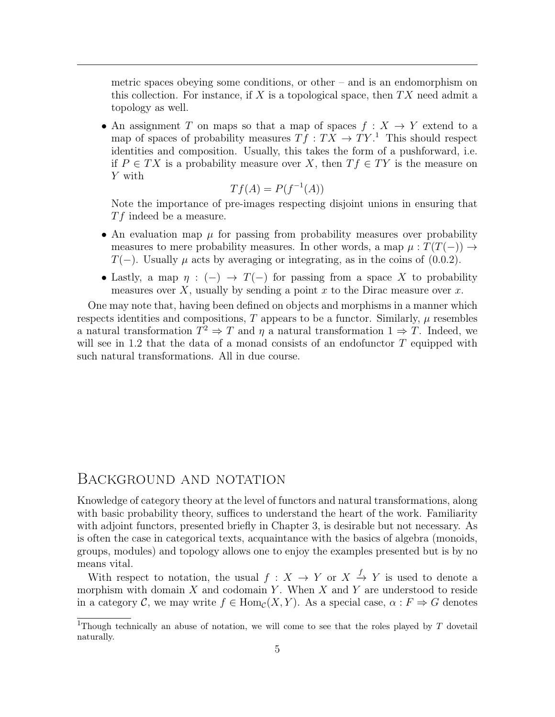metric spaces obeying some conditions, or other – and is an endomorphism on this collection. For instance, if X is a topological space, then  $TX$  need admit a topology as well.

• An assignment T on maps so that a map of spaces  $f: X \to Y$  extend to a map of spaces of probability measures  $Tf : TX \to TY$ <sup>[1](#page-5-1)</sup>. This should respect identities and composition. Usually, this takes the form of a pushforward, i.e. if  $P \in TX$  is a probability measure over X, then  $Tf \in TY$  is the measure on Y with

$$
Tf(A) = P(f^{-1}(A))
$$

Note the importance of pre-images respecting disjoint unions in ensuring that  $Tf$  indeed be a measure.

- An evaluation map  $\mu$  for passing from probability measures over probability measures to mere probability measures. In other words, a map  $\mu : T(T(-)) \rightarrow$  $T(-)$ . Usually  $\mu$  acts by averaging or integrating, as in the coins of [\(0.0.2\)](#page-3-2).
- Lastly, a map  $\eta : (-) \to T(-)$  for passing from a space X to probability measures over X, usually by sending a point x to the Dirac measure over  $x$ .

One may note that, having been defined on objects and morphisms in a manner which respects identities and compositions,  $T$  appears to be a functor. Similarly,  $\mu$  resembles a natural transformation  $T^2 \Rightarrow T$  and  $\eta$  a natural transformation  $1 \Rightarrow T$ . Indeed, we will see in [1.2](#page-9-0) that the data of a monad consists of an endofunctor  $T$  equipped with such natural transformations. All in due course.

#### <span id="page-5-0"></span>Background and notation

Knowledge of category theory at the level of functors and natural transformations, along with basic probability theory, suffices to understand the heart of the work. Familiarity with adjoint functors, presented briefly in Chapter [3,](#page-28-0) is desirable but not necessary. As is often the case in categorical texts, acquaintance with the basics of algebra (monoids, groups, modules) and topology allows one to enjoy the examples presented but is by no means vital.

With respect to notation, the usual  $f: X \to Y$  or  $X \xrightarrow{f} Y$  is used to denote a morphism with domain  $X$  and codomain  $Y$ . When  $X$  and  $Y$  are understood to reside in a category C, we may write  $f \in Hom_{\mathcal{C}}(X, Y)$ . As a special case,  $\alpha : F \Rightarrow G$  denotes

<span id="page-5-1"></span><sup>&</sup>lt;sup>1</sup>Though technically an abuse of notation, we will come to see that the roles played by  $T$  dovetail naturally.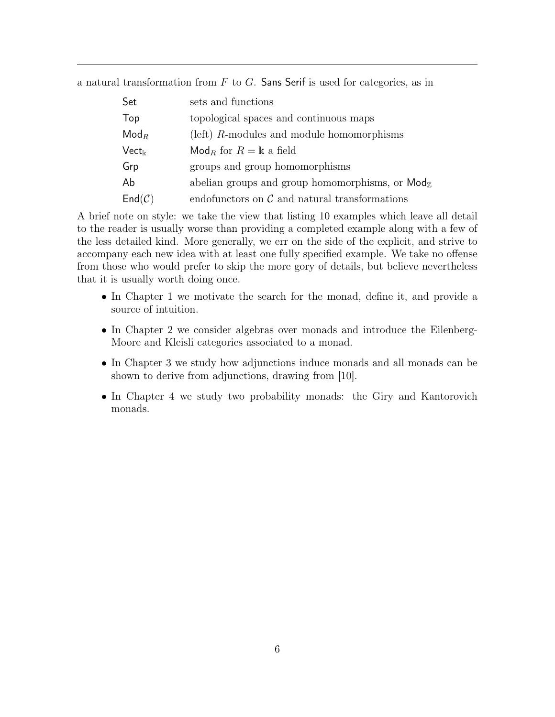a natural transformation from  $F$  to  $G$ . Sans Serif is used for categories, as in

| Set                   | sets and functions                                                     |  |  |
|-----------------------|------------------------------------------------------------------------|--|--|
| Top                   | topological spaces and continuous maps                                 |  |  |
| $\mathsf{Mod}_R$      | (left) $R$ -modules and module homomorphisms                           |  |  |
| $\mathsf{Vect}_\Bbbk$ | $\mathsf{Mod}_R$ for $R = \mathbb{k}$ a field                          |  |  |
| Grp                   | groups and group homomorphisms                                         |  |  |
| Ab                    | abelian groups and group homomorphisms, or $\mathsf{Mod}_{\mathbb{Z}}$ |  |  |
| $End(\mathcal{C})$    | endofunctors on $\mathcal C$ and natural transformations               |  |  |

A brief note on style: we take the view that listing 10 examples which leave all detail to the reader is usually worse than providing a completed example along with a few of the less detailed kind. More generally, we err on the side of the explicit, and strive to accompany each new idea with at least one fully specified example. We take no offense from those who would prefer to skip the more gory of details, but believe nevertheless that it is usually worth doing once.

- In Chapter [1](#page-7-0) we motivate the search for the monad, define it, and provide a source of intuition.
- In Chapter [2](#page-21-0) we consider algebras over monads and introduce the Eilenberg-Moore and Kleisli categories associated to a monad.
- In Chapter [3](#page-28-0) we study how adjunctions induce monads and all monads can be shown to derive from adjunctions, drawing from [\[10\]](#page-44-4).
- In Chapter [4](#page-37-0) we study two probability monads: the Giry and Kantorovich monads.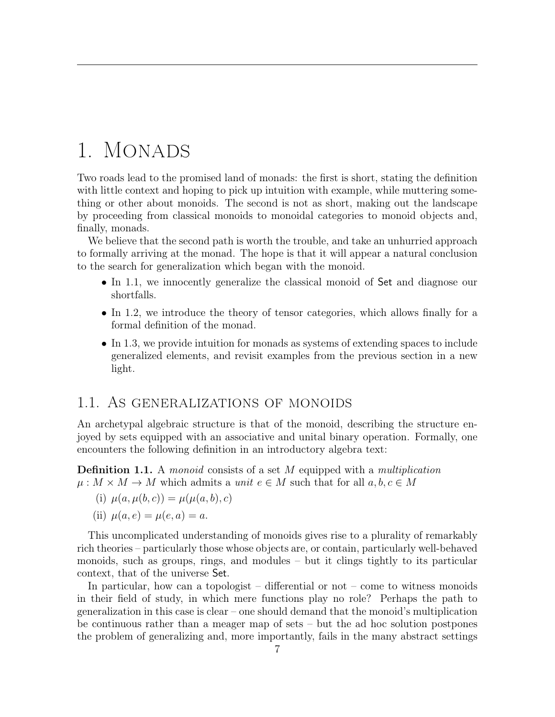# <span id="page-7-0"></span>1. MONADS

Two roads lead to the promised land of monads: the first is short, stating the definition with little context and hoping to pick up intuition with example, while muttering something or other about monoids. The second is not as short, making out the landscape by proceeding from classical monoids to monoidal categories to monoid objects and, finally, monads.

We believe that the second path is worth the trouble, and take an unhurried approach to formally arriving at the monad. The hope is that it will appear a natural conclusion to the search for generalization which began with the monoid.

- In [1.1,](#page-7-1) we innocently generalize the classical monoid of Set and diagnose our shortfalls.
- In [1.2,](#page-9-0) we introduce the theory of tensor categories, which allows finally for a formal definition of the monad.
- In [1.3,](#page-18-0) we provide intuition for monads as systems of extending spaces to include generalized elements, and revisit examples from the previous section in a new light.

### <span id="page-7-1"></span>1.1. As generalizations of monoids

An archetypal algebraic structure is that of the monoid, describing the structure enjoyed by sets equipped with an associative and unital binary operation. Formally, one encounters the following definition in an introductory algebra text:

<span id="page-7-2"></span>**Definition 1.1.** A monoid consists of a set M equipped with a multiplication  $\mu: M \times M \to M$  which admits a unit  $e \in M$  such that for all  $a, b, c \in M$ 

(i) 
$$
\mu(a, \mu(b, c)) = \mu(\mu(a, b), c)
$$

(ii)  $\mu(a, e) = \mu(e, a) = a$ .

This uncomplicated understanding of monoids gives rise to a plurality of remarkably rich theories – particularly those whose objects are, or contain, particularly well-behaved monoids, such as groups, rings, and modules – but it clings tightly to its particular context, that of the universe Set.

In particular, how can a topologist – differential or not – come to witness monoids in their field of study, in which mere functions play no role? Perhaps the path to generalization in this case is clear – one should demand that the monoid's multiplication be continuous rather than a meager map of sets – but the ad hoc solution postpones the problem of generalizing and, more importantly, fails in the many abstract settings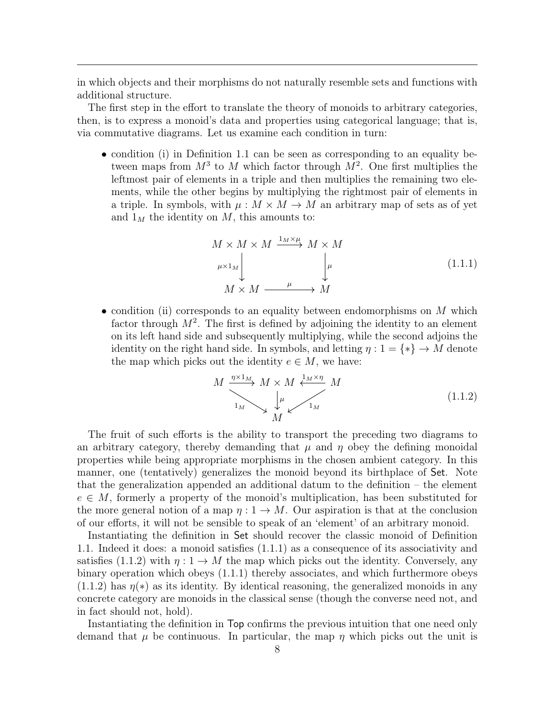in which objects and their morphisms do not naturally resemble sets and functions with additional structure.

The first step in the effort to translate the theory of monoids to arbitrary categories, then, is to express a monoid's data and properties using categorical language; that is, via commutative diagrams. Let us examine each condition in turn:

• condition (i) in Definition [1.1](#page-7-2) can be seen as corresponding to an equality between maps from  $M^3$  to M which factor through  $M^2$ . One first multiplies the leftmost pair of elements in a triple and then multiplies the remaining two elements, while the other begins by multiplying the rightmost pair of elements in a triple. In symbols, with  $\mu : M \times M \to M$  an arbitrary map of sets as of yet and  $1_M$  the identity on M, this amounts to:

<span id="page-8-0"></span>
$$
M \times M \times M \xrightarrow{1_M \times \mu} M \times M
$$
  
\n
$$
\mu \times 1_M
$$
  
\n
$$
M \times M \xrightarrow{\mu} M
$$
  
\n
$$
(1.1.1)
$$
  
\n
$$
M \times M \xrightarrow{\mu} M
$$

• condition (ii) corresponds to an equality between endomorphisms on  $M$  which factor through  $M^2$ . The first is defined by adjoining the identity to an element on its left hand side and subsequently multiplying, while the second adjoins the identity on the right hand side. In symbols, and letting  $\eta: 1 = \{*\} \to M$  denote the map which picks out the identity  $e \in M$ , we have:

<span id="page-8-1"></span>
$$
M \xrightarrow{\eta \times 1_M} M \times M \xleftarrow{\frac{1_M \times \eta}{M}} M
$$
\n
$$
\downarrow^{\mu} \qquad \qquad 1_M
$$
\n
$$
(1.1.2)
$$

The fruit of such efforts is the ability to transport the preceding two diagrams to an arbitrary category, thereby demanding that  $\mu$  and  $\eta$  obey the defining monoidal properties while being appropriate morphisms in the chosen ambient category. In this manner, one (tentatively) generalizes the monoid beyond its birthplace of Set. Note that the generalization appended an additional datum to the definition – the element  $e \in M$ , formerly a property of the monoid's multiplication, has been substituted for the more general notion of a map  $\eta: 1 \to M$ . Our aspiration is that at the conclusion of our efforts, it will not be sensible to speak of an 'element' of an arbitrary monoid.

Instantiating the definition in Set should recover the classic monoid of Definition [1.1.](#page-7-2) Indeed it does: a monoid satisfies [\(1.1.1\)](#page-8-0) as a consequence of its associativity and satisfies [\(1.1.2\)](#page-8-1) with  $\eta: 1 \to M$  the map which picks out the identity. Conversely, any binary operation which obeys [\(1.1.1\)](#page-8-0) thereby associates, and which furthermore obeys  $(1.1.2)$  has  $\eta(*)$  as its identity. By identical reasoning, the generalized monoids in any concrete category are monoids in the classical sense (though the converse need not, and in fact should not, hold).

Instantiating the definition in Top confirms the previous intuition that one need only demand that  $\mu$  be continuous. In particular, the map  $\eta$  which picks out the unit is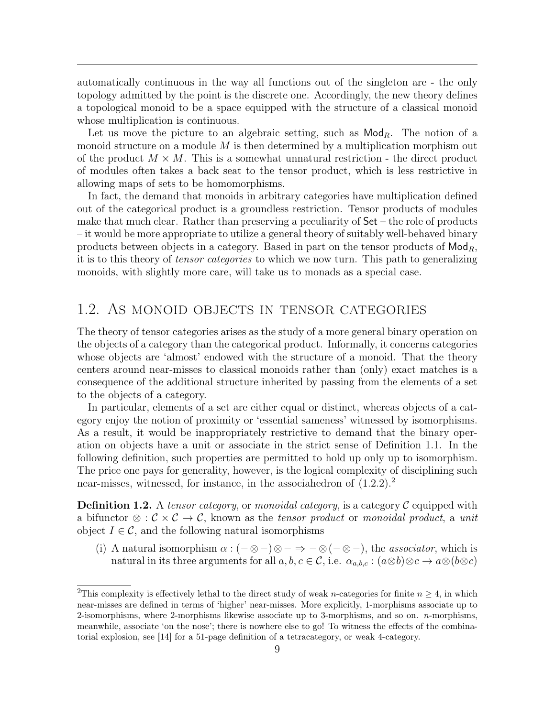automatically continuous in the way all functions out of the singleton are - the only topology admitted by the point is the discrete one. Accordingly, the new theory defines a topological monoid to be a space equipped with the structure of a classical monoid whose multiplication is continuous.

Let us move the picture to an algebraic setting, such as  $\mathsf{Mod}_R$ . The notion of a monoid structure on a module M is then determined by a multiplication morphism out of the product  $M \times M$ . This is a somewhat unnatural restriction - the direct product of modules often takes a back seat to the tensor product, which is less restrictive in allowing maps of sets to be homomorphisms.

In fact, the demand that monoids in arbitrary categories have multiplication defined out of the categorical product is a groundless restriction. Tensor products of modules make that much clear. Rather than preserving a peculiarity of  $Set$  – the role of products – it would be more appropriate to utilize a general theory of suitably well-behaved binary products between objects in a category. Based in part on the tensor products of  $\mathsf{Mod}_R$ , it is to this theory of tensor categories to which we now turn. This path to generalizing monoids, with slightly more care, will take us to monads as a special case.

### <span id="page-9-0"></span>1.2. As monoid objects in tensor categories

The theory of tensor categories arises as the study of a more general binary operation on the objects of a category than the categorical product. Informally, it concerns categories whose objects are 'almost' endowed with the structure of a monoid. That the theory centers around near-misses to classical monoids rather than (only) exact matches is a consequence of the additional structure inherited by passing from the elements of a set to the objects of a category.

In particular, elements of a set are either equal or distinct, whereas objects of a category enjoy the notion of proximity or 'essential sameness' witnessed by isomorphisms. As a result, it would be inappropriately restrictive to demand that the binary operation on objects have a unit or associate in the strict sense of Definition [1.1.](#page-7-2) In the following definition, such properties are permitted to hold up only up to isomorphism. The price one pays for generality, however, is the logical complexity of disciplining such near-misses, witnessed, for instance, in the associahedron of  $(1.2.2).<sup>2</sup>$  $(1.2.2).<sup>2</sup>$  $(1.2.2).<sup>2</sup>$  $(1.2.2).<sup>2</sup>$ 

<span id="page-9-2"></span>**Definition 1.2.** A tensor category, or monoidal category, is a category  $\mathcal{C}$  equipped with a bifunctor  $\otimes : \mathcal{C} \times \mathcal{C} \to \mathcal{C}$ , known as the *tensor product* or *monoidal product*, a unit object  $I \in \mathcal{C}$ , and the following natural isomorphisms

(i) A natural isomorphism  $\alpha$  :  $(-\otimes -)\otimes - \Rightarrow -\otimes (-\otimes -)$ , the *associator*, which is natural in its three arguments for all  $a, b, c \in \mathcal{C}$ , i.e.  $\alpha_{a,b,c} : (a \otimes b) \otimes c \to a \otimes (b \otimes c)$ 

<span id="page-9-1"></span><sup>&</sup>lt;sup>2</sup>This complexity is effectively lethal to the direct study of weak *n*-categories for finite  $n > 4$ , in which near-misses are defined in terms of 'higher' near-misses. More explicitly, 1-morphisms associate up to 2-isomorphisms, where 2-morphisms likewise associate up to 3-morphisms, and so on.  $n$ -morphisms, meanwhile, associate 'on the nose'; there is nowhere else to go! To witness the effects of the combinatorial explosion, see [\[14\]](#page-44-5) for a 51-page definition of a tetracategory, or weak 4-category.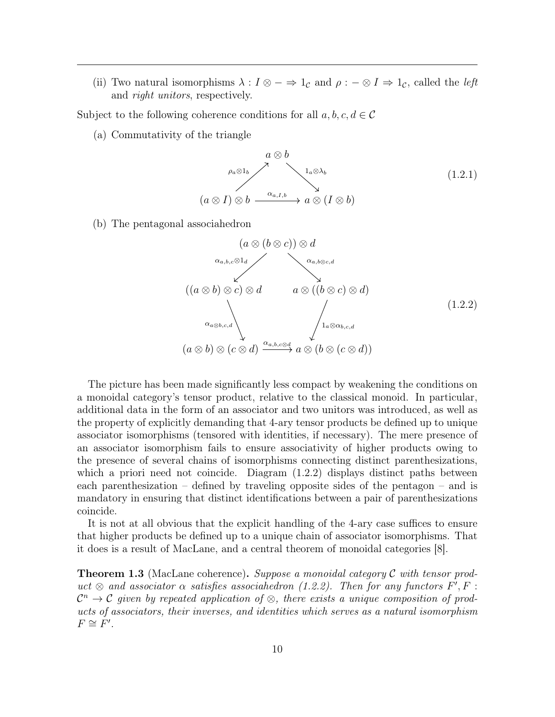(ii) Two natural isomorphisms  $\lambda : I \otimes - \Rightarrow 1_{\mathcal{C}}$  and  $\rho : - \otimes I \Rightarrow 1_{\mathcal{C}}$ , called the *left* and right unitors, respectively.

Subject to the following coherence conditions for all  $a, b, c, d \in \mathcal{C}$ 

(a) Commutativity of the triangle

$$
a \otimes b
$$
  
\n
$$
\rho_a \otimes 1_b
$$
  
\n
$$
(a \otimes I) \otimes b
$$
  
\n
$$
\xrightarrow{\alpha_{a,I,b}} a \otimes (I \otimes b)
$$
  
\n
$$
(1.2.1)
$$

(b) The pentagonal associahedron

<span id="page-10-0"></span>
$$
(a \otimes (b \otimes c)) \otimes d
$$
  
\n
$$
\alpha_{a,b,c} \otimes 1_d
$$
  
\n
$$
((a \otimes b) \otimes c) \otimes d
$$
  
\n
$$
\alpha_{a,b,c,d}
$$
  
\n
$$
\alpha_{a \otimes b,c,d}
$$
  
\n
$$
(1.2.2)
$$
  
\n
$$
\alpha_{a \otimes b,c,d}
$$
  
\n
$$
(1.2.2)
$$
  
\n
$$
\alpha_{a,b,c,d}
$$
  
\n
$$
\alpha_{a \otimes b,c,d}
$$
  
\n
$$
(1.2.2)
$$

The picture has been made significantly less compact by weakening the conditions on a monoidal category's tensor product, relative to the classical monoid. In particular, additional data in the form of an associator and two unitors was introduced, as well as the property of explicitly demanding that 4-ary tensor products be defined up to unique associator isomorphisms (tensored with identities, if necessary). The mere presence of an associator isomorphism fails to ensure associativity of higher products owing to the presence of several chains of isomorphisms connecting distinct parenthesizations, which a priori need not coincide. Diagram  $(1.2.2)$  displays distinct paths between each parenthesization – defined by traveling opposite sides of the pentagon – and is mandatory in ensuring that distinct identifications between a pair of parenthesizations coincide.

It is not at all obvious that the explicit handling of the 4-ary case suffices to ensure that higher products be defined up to a unique chain of associator isomorphisms. That it does is a result of MacLane, and a central theorem of monoidal categories [\[8\]](#page-44-6).

**Theorem 1.3** (MacLane coherence). Suppose a monoidal category C with tensor product  $\otimes$  and associator  $\alpha$  satisfies associahedron (1.2.2). Then for any functors  $F', F$ :  $\mathcal{C}^n \to \mathcal{C}$  given by repeated application of  $\otimes$ , there exists a unique composition of products of associators, their inverses, and identities which serves as a natural isomorphism  $F \cong F'.$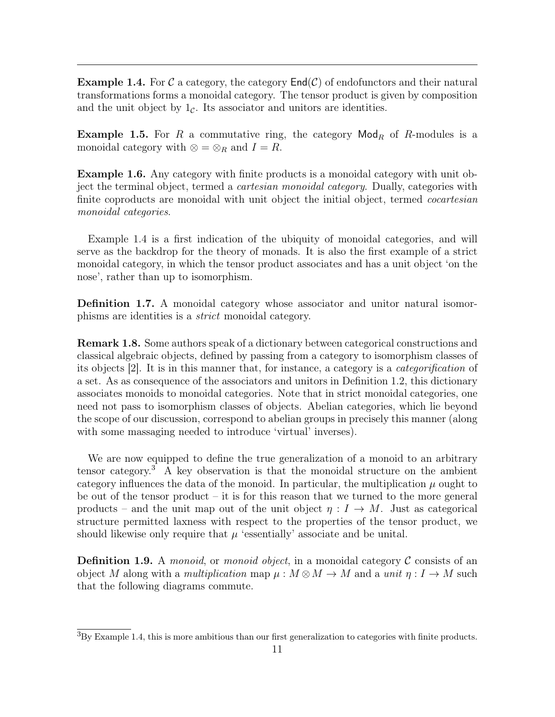<span id="page-11-0"></span>**Example 1.4.** For C a category, the category  $\text{End}(\mathcal{C})$  of endofunctors and their natural transformations forms a monoidal category. The tensor product is given by composition and the unit object by  $1<sub>c</sub>$ . Its associator and unitors are identities.

<span id="page-11-5"></span>**Example 1.5.** For R a commutative ring, the category  $\mathsf{Mod}_R$  of R-modules is a monoidal category with ⊗ = ⊗<sub>R</sub> and  $I = R$ .

<span id="page-11-2"></span>Example 1.6. Any category with finite products is a monoidal category with unit object the terminal object, termed a *cartesian monoidal category*. Dually, categories with finite coproducts are monoidal with unit object the initial object, termed *cocartesian* monoidal categories.

Example [1.4](#page-11-0) is a first indication of the ubiquity of monoidal categories, and will serve as the backdrop for the theory of monads. It is also the first example of a strict monoidal category, in which the tensor product associates and has a unit object 'on the nose', rather than up to isomorphism.

Definition 1.7. A monoidal category whose associator and unitor natural isomorphisms are identities is a strict monoidal category.

<span id="page-11-4"></span>Remark 1.8. Some authors speak of a dictionary between categorical constructions and classical algebraic objects, defined by passing from a category to isomorphism classes of its objects [\[2\]](#page-44-7). It is in this manner that, for instance, a category is a categorification of a set. As as consequence of the associators and unitors in Definition [1.2,](#page-9-2) this dictionary associates monoids to monoidal categories. Note that in strict monoidal categories, one need not pass to isomorphism classes of objects. Abelian categories, which lie beyond the scope of our discussion, correspond to abelian groups in precisely this manner (along with some massaging needed to introduce 'virtual' inverses).

We are now equipped to define the true generalization of a monoid to an arbitrary tensor category.<sup>[3](#page-11-1)</sup> A key observation is that the monoidal structure on the ambient category influences the data of the monoid. In particular, the multiplication  $\mu$  ought to be out of the tensor product – it is for this reason that we turned to the more general products – and the unit map out of the unit object  $\eta: I \to M$ . Just as categorical structure permitted laxness with respect to the properties of the tensor product, we should likewise only require that  $\mu$  'essentially' associate and be unital.

<span id="page-11-3"></span>**Definition 1.9.** A monoid, or monoid object, in a monoidal category  $\mathcal{C}$  consists of an object M along with a multiplication map  $\mu : M \otimes M \to M$  and a unit  $\eta : I \to M$  such that the following diagrams commute.

<span id="page-11-1"></span> ${}^{3}$ By Example [1.4,](#page-11-0) this is more ambitious than our first generalization to categories with finite products.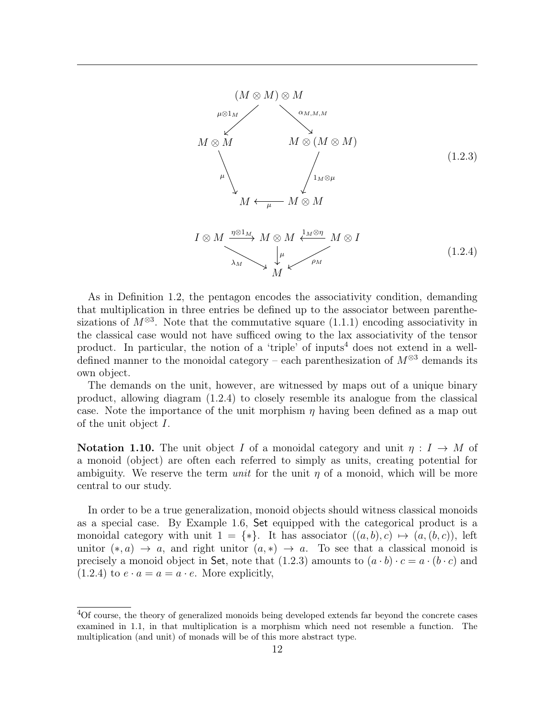<span id="page-12-2"></span>

<span id="page-12-1"></span>As in Definition [1.2,](#page-9-2) the pentagon encodes the associativity condition, demanding that multiplication in three entries be defined up to the associator between parenthesizations of  $M^{\otimes 3}$ . Note that the commutative square [\(1.1.1\)](#page-8-0) encoding associativity in the classical case would not have sufficed owing to the lax associativity of the tensor product. In particular, the notion of a 'triple' of inputs<sup>[4](#page-12-0)</sup> does not extend in a welldefined manner to the monoidal category – each parenthesization of  $M^{\otimes 3}$  demands its own object.

The demands on the unit, however, are witnessed by maps out of a unique binary product, allowing diagram [\(1.2.4\)](#page-12-1) to closely resemble its analogue from the classical case. Note the importance of the unit morphism  $\eta$  having been defined as a map out of the unit object I.

**Notation 1.10.** The unit object I of a monoidal category and unit  $\eta: I \to M$  of a monoid (object) are often each referred to simply as units, creating potential for ambiguity. We reserve the term *unit* for the unit  $\eta$  of a monoid, which will be more central to our study.

In order to be a true generalization, monoid objects should witness classical monoids as a special case. By Example [1.6,](#page-11-2) Set equipped with the categorical product is a monoidal category with unit  $1 = \{*\}.$  It has associator  $((a, b), c) \mapsto (a, (b, c))$ , left unitor  $(*, a) \rightarrow a$ , and right unitor  $(a, *) \rightarrow a$ . To see that a classical monoid is precisely a monoid object in Set, note that  $(1.2.3)$  amounts to  $(a \cdot b) \cdot c = a \cdot (b \cdot c)$  and  $(1.2.4)$  to  $e \cdot a = a = a \cdot e$ . More explicitly,

<span id="page-12-0"></span><sup>&</sup>lt;sup>4</sup>Of course, the theory of generalized monoids being developed extends far beyond the concrete cases examined in [1.1,](#page-7-1) in that multiplication is a morphism which need not resemble a function. The multiplication (and unit) of monads will be of this more abstract type.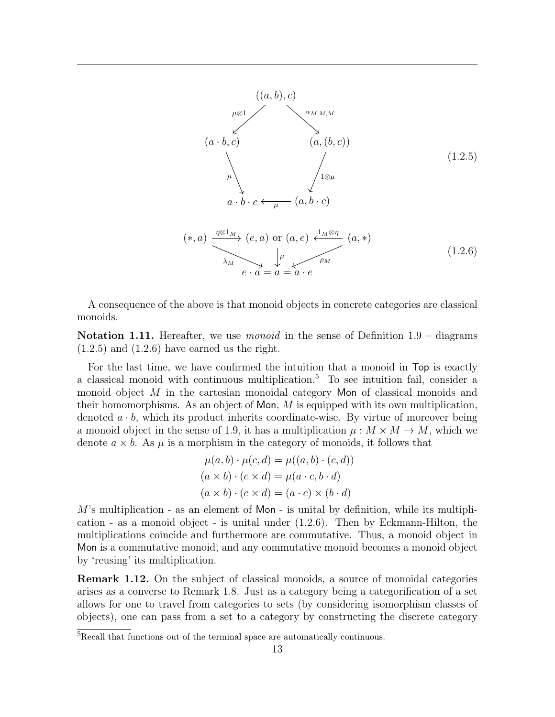<span id="page-13-0"></span>

<span id="page-13-1"></span>A consequence of the above is that monoid objects in concrete categories are classical monoids.

**Notation 1.11.** Hereafter, we use *monoid* in the sense of Definition  $1.9 - \text{diagrams}$  $1.9 - \text{diagrams}$  $(1.2.5)$  and  $(1.2.6)$  have earned us the right.

For the last time, we have confirmed the intuition that a monoid in Top is exactly a classical monoid with continuous multiplication.[5](#page-13-2) To see intuition fail, consider a monoid object M in the cartesian monoidal category Mon of classical monoids and their homomorphisms. As an object of Mon,  $M$  is equipped with its own multiplication, denoted  $a \cdot b$ , which its product inherits coordinate-wise. By virtue of moreover being a monoid object in the sense of [1.9,](#page-11-3) it has a multiplication  $\mu : M \times M \to M$ , which we denote  $a \times b$ . As  $\mu$  is a morphism in the category of monoids, it follows that

$$
\mu(a, b) \cdot \mu(c, d) = \mu((a, b) \cdot (c, d))
$$

$$
(a \times b) \cdot (c \times d) = \mu(a \cdot c, b \cdot d)
$$

$$
(a \times b) \cdot (c \times d) = (a \cdot c) \times (b \cdot d)
$$

 $M$ 's multiplication - as an element of  $Mon$  - is unital by definition, while its multiplication - as a monoid object - is unital under [\(1.2.6\)](#page-13-1). Then by Eckmann-Hilton, the multiplications coincide and furthermore are commutative. Thus, a monoid object in Mon is a commutative monoid, and any commutative monoid becomes a monoid object by 'reusing' its multiplication.

Remark 1.12. On the subject of classical monoids, a source of monoidal categories arises as a converse to Remark [1.8.](#page-11-4) Just as a category being a categorification of a set allows for one to travel from categories to sets (by considering isomorphism classes of objects), one can pass from a set to a category by constructing the discrete category

<span id="page-13-2"></span><sup>5</sup>Recall that functions out of the terminal space are automatically continuous.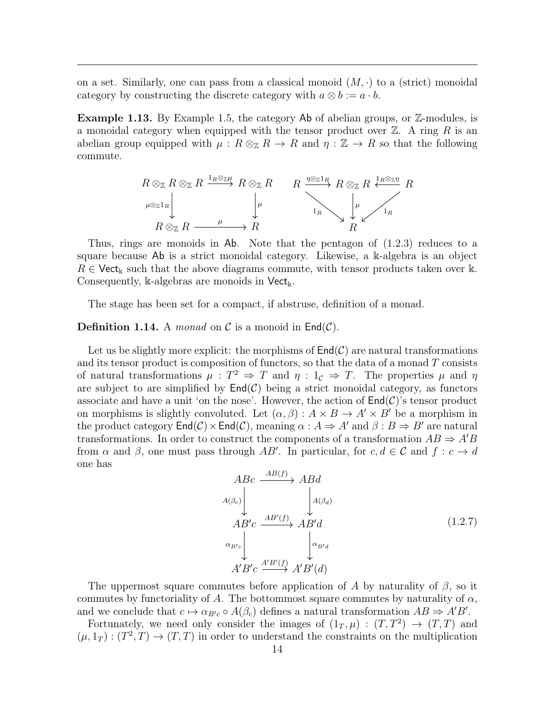on a set. Similarly, one can pass from a classical monoid  $(M, \cdot)$  to a (strict) monoidal category by constructing the discrete category with  $a \otimes b := a \cdot b$ .

Example 1.13. By Example [1.5,](#page-11-5) the category Ab of abelian groups, or Z-modules, is a monoidal category when equipped with the tensor product over  $\mathbb{Z}$ . A ring R is an abelian group equipped with  $\mu : R \otimes_{\mathbb{Z}} R \to R$  and  $\eta : \mathbb{Z} \to R$  so that the following commute.



Thus, rings are monoids in Ab. Note that the pentagon of [\(1.2.3\)](#page-12-2) reduces to a square because Ab is a strict monoidal category. Likewise, a k-algebra is an object  $R \in \mathsf{Vect}_{\mathbb{k}}$  such that the above diagrams commute, with tensor products taken over k. Consequently, k-algebras are monoids in  $Vect_{\mathbbk}}$ .

The stage has been set for a compact, if abstruse, definition of a monad.

#### **Definition 1.14.** A *monad* on C is a monoid in  $\text{End}(\mathcal{C})$ .

Let us be slightly more explicit: the morphisms of  $\text{End}(\mathcal{C})$  are natural transformations and its tensor product is composition of functors, so that the data of a monad  $T$  consists of natural transformations  $\mu : T^2 \Rightarrow T$  and  $\eta : 1_{\mathcal{C}} \Rightarrow T$ . The properties  $\mu$  and  $\eta$ are subject to are simplified by  $\mathsf{End}(\mathcal{C})$  being a strict monoidal category, as functors associate and have a unit 'on the nose'. However, the action of  $\text{End}(\mathcal{C})$ 's tensor product on morphisms is slightly convoluted. Let  $(\alpha, \beta) : A \times B \to A' \times B'$  be a morphism in the product category  $\text{End}(\mathcal{C})\times \text{End}(\mathcal{C})$ , meaning  $\alpha: A \Rightarrow A'$  and  $\beta: B \Rightarrow B'$  are natural transformations. In order to construct the components of a transformation  $AB \Rightarrow A'B$ from  $\alpha$  and  $\beta$ , one must pass through AB'. In particular, for  $c, d \in \mathcal{C}$  and  $f : c \to d$ one has

$$
ABC \xrightarrow{AB(f)} ABd
$$
  
\n
$$
A(\beta_c)
$$
\n
$$
AB'c \xrightarrow{AB'(f)} AB'd
$$
\n
$$
\alpha_{B'c}
$$
\n
$$
\downarrow \alpha_{B'd}
$$
\n
$$
A'B'c \xrightarrow{A'B'(f)} A'B'(d)
$$
\n(1.2.7)

The uppermost square commutes before application of A by naturality of  $\beta$ , so it commutes by functoriality of A. The bottommost square commutes by naturality of  $\alpha$ , and we conclude that  $c \mapsto \alpha_{B'c} \circ A(\beta_c)$  defines a natural transformation  $AB \Rightarrow A'B'$ .

Fortunately, we need only consider the images of  $(1_T, \mu) : (T, T^2) \to (T, T)$  and  $(\mu, 1_T) : (T^2, T) \to (T, T)$  in order to understand the constraints on the multiplication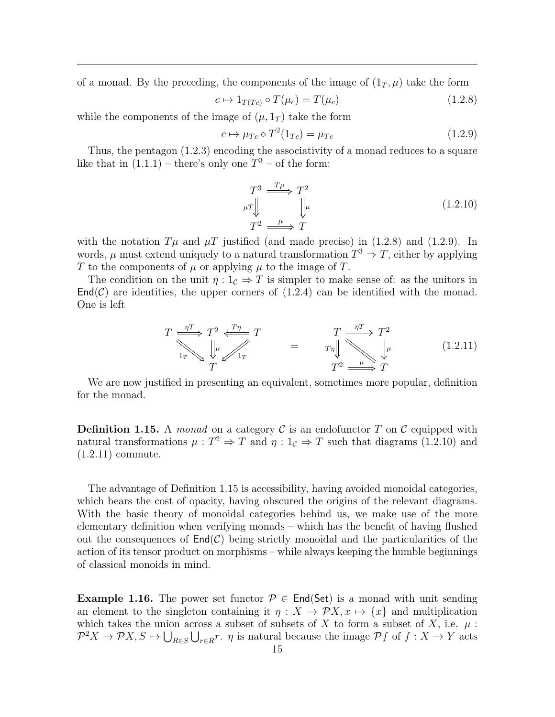of a monad. By the preceding, the components of the image of  $(1_T, \mu)$  take the form

<span id="page-15-0"></span>
$$
c \mapsto 1_{T(Tc)} \circ T(\mu_c) = T(\mu_c) \tag{1.2.8}
$$

while the components of the image of  $(\mu, 1_T)$  take the form

<span id="page-15-1"></span>
$$
c \mapsto \mu_{Tc} \circ T^2(1_{Tc}) = \mu_{Tc} \tag{1.2.9}
$$

Thus, the pentagon [\(1.2.3\)](#page-12-2) encoding the associativity of a monad reduces to a square like that in  $(1.1.1)$  – there's only one  $T^3$  – of the form:

<span id="page-15-2"></span>
$$
T^3 \xrightarrow{T\mu} T^2
$$
  
\n
$$
\mu
$$
\n
$$
T^2 \xrightarrow{\mu} T
$$
\n
$$
(1.2.10)
$$
  
\n
$$
T^2 \xrightarrow{\mu} T
$$

with the notation  $T\mu$  and  $\mu$ T justified (and made precise) in [\(1.2.8\)](#page-15-0) and [\(1.2.9\)](#page-15-1). In words,  $\mu$  must extend uniquely to a natural transformation  $T^3 \Rightarrow T$ , either by applying T to the components of  $\mu$  or applying  $\mu$  to the image of T.

The condition on the unit  $\eta: 1_{\mathcal{C}} \Rightarrow T$  is simpler to make sense of: as the unitors in  $\textsf{End}(\mathcal{C})$  are identities, the upper corners of  $(1.2.4)$  can be identified with the monad. One is left

<span id="page-15-3"></span>
$$
T \xrightarrow[1_T]{\eta T} T^2 \xleftarrow[T_T]{T\eta} T \qquad = \qquad T \xrightarrow[\eta T]{} T^2
$$
  

$$
T \xrightarrow[\eta T]{} T^2
$$
  

$$
T^2 \xrightarrow[\mu]{\eta T} T^2
$$
  

$$
T^2 \xrightarrow[\mu]{\eta T} T^2
$$
  
(1.2.11)

We are now justified in presenting an equivalent, sometimes more popular, definition for the monad.

<span id="page-15-4"></span>**Definition 1.15.** A monad on a category  $\mathcal C$  is an endofunctor  $T$  on  $\mathcal C$  equipped with natural transformations  $\mu: T^2 \Rightarrow T$  and  $\eta: 1_{\mathcal{C}} \Rightarrow T$  such that diagrams [\(1.2.10\)](#page-15-2) and [\(1.2.11\)](#page-15-3) commute.

The advantage of Definition [1.15](#page-15-4) is accessibility, having avoided monoidal categories, which bears the cost of opacity, having obscured the origins of the relevant diagrams. With the basic theory of monoidal categories behind us, we make use of the more elementary definition when verifying monads – which has the benefit of having flushed out the consequences of  $\text{End}(\mathcal{C})$  being strictly monoidal and the particularities of the action of its tensor product on morphisms – while always keeping the humble beginnings of classical monoids in mind.

**Example 1.16.** The power set functor  $\mathcal{P} \in End(\mathsf{Set})$  is a monad with unit sending an element to the singleton containing it  $\eta: X \to \mathcal{P}X, x \mapsto \{x\}$  and multiplication which takes the union across a subset of subsets of X to form a subset of X, i.e.  $\mu$ :  $\mathcal{P}^2X \to \mathcal{P}X, S \mapsto \bigcup_{R \in S} \bigcup_{r \in R} r$ .  $\eta$  is natural because the image  $\mathcal{P}f$  of  $f : X \to Y$  acts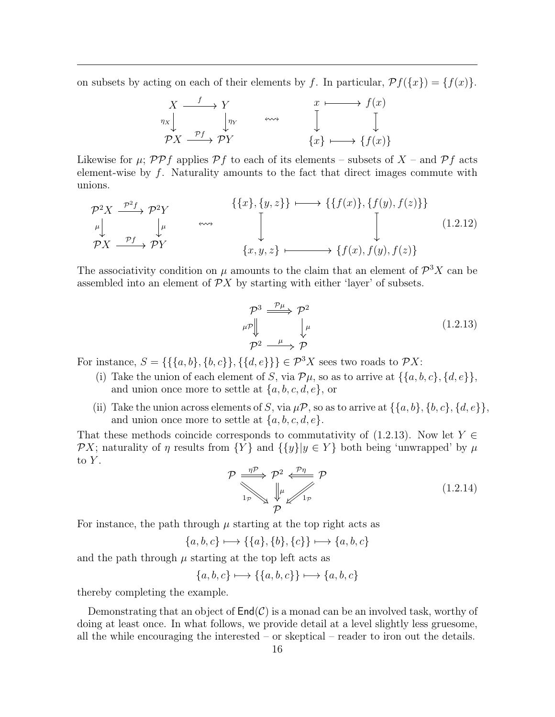on subsets by acting on each of their elements by f. In particular,  $\mathcal{P}f(\lbrace x \rbrace) = \lbrace f(x) \rbrace$ .



Likewise for  $\mu$ ; PPf applies Pf to each of its elements – subsets of X – and Pf acts element-wise by  $f$ . Naturality amounts to the fact that direct images commute with unions.

$$
\mathcal{P}^2 X \xrightarrow{\mathcal{P}^2 f} \mathcal{P}^2 Y
$$
\n
$$
\downarrow^{\mu} \qquad \longleftrightarrow \qquad \qquad \left\{ \{x\}, \{y, z\} \} \longmapsto \{ \{f(x)\}, \{f(y), f(z)\} \} \right\}
$$
\n
$$
\mathcal{P}^2 X \xrightarrow{\mathcal{P}^f} \mathcal{P}^Y
$$
\n
$$
\{x, y, z\} \longmapsto \{f(x), f(y), f(z) \}
$$
\n(1.2.12)

The associativity condition on  $\mu$  amounts to the claim that an element of  $\mathcal{P}^3 X$  can be assembled into an element of  $\mathcal{P}X$  by starting with either 'layer' of subsets.

<span id="page-16-0"></span>
$$
\begin{array}{ccc}\n\mathcal{P}^3 & \xrightarrow{\mathcal{P}\mu} & \mathcal{P}^2 \\
\downarrow^{\mu} & \downarrow^{\mu} & & \\
\mathcal{P}^2 & \xrightarrow{\mu} & \mathcal{P}\n\end{array} \tag{1.2.13}
$$

For instance,  $S = \{\{\{a, b\}, \{b, c\}\}, \{\{d, e\}\}\}\in \mathcal{P}^3 X$  sees two roads to  $\mathcal{P} X$ :

- (i) Take the union of each element of S, via  $\mathcal{P}\mu$ , so as to arrive at  $\{\{a, b, c\}, \{d, e\}\},\$ and union once more to settle at  $\{a, b, c, d, e\}$ , or
- (ii) Take the union across elements of S, via  $\mu \mathcal{P}$ , so as to arrive at  $\{\{a, b\}, \{b, c\}, \{d, e\}\}\$ and union once more to settle at  $\{a, b, c, d, e\}.$

That these methods coincide corresponds to commutativity of [\(1.2.13\)](#page-16-0). Now let  $Y \in$ PX; naturality of  $\eta$  results from  $\{Y\}$  and  $\{\{y\}|y \in Y\}$  both being 'unwrapped' by  $\mu$ to  $Y$ .

$$
\mathcal{P} \xrightarrow[1_P]{\eta \mathcal{P}} \mathcal{P}^2 \xleftarrow{\mathcal{P}\eta} \mathcal{P}
$$
\n
$$
\downarrow[1_P]{\downarrow\downarrow[1_P]{\mathcal{P}} \mathcal{P}}
$$
\n
$$
(1.2.14)
$$

For instance, the path through  $\mu$  starting at the top right acts as

$$
\{a, b, c\} \longmapsto \{\{a\}, \{b\}, \{c\}\} \longmapsto \{a, b, c\}
$$

and the path through  $\mu$  starting at the top left acts as

 ${a, b, c} \longmapsto { {a, b, c} } \longmapsto {a, b, c}$ 

thereby completing the example.

Demonstrating that an object of  $\text{End}(\mathcal{C})$  is a monad can be an involved task, worthy of doing at least once. In what follows, we provide detail at a level slightly less gruesome, all the while encouraging the interested – or skeptical – reader to iron out the details.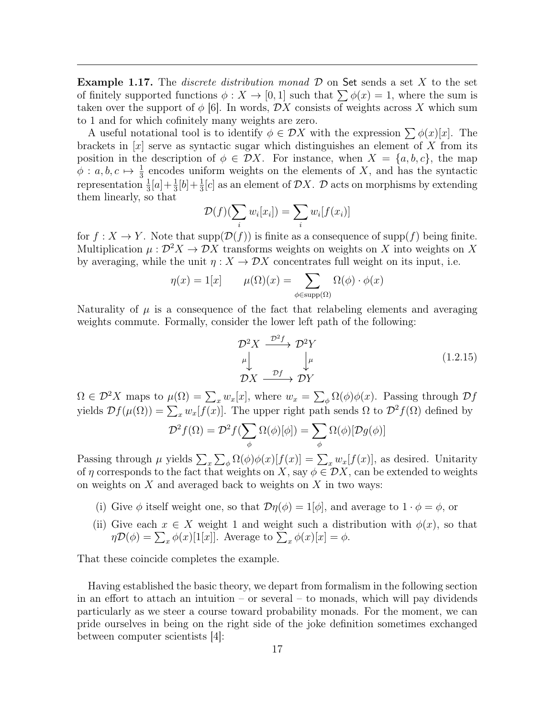<span id="page-17-0"></span>**Example 1.17.** The *discrete distribution monad*  $\mathcal{D}$  on Set sends a set X to the set of finitely supported functions  $\phi: X \to [0, 1]$  such that  $\sum \phi(x) = 1$ , where the sum is taken over the support of  $\phi$  [\[6\]](#page-44-8). In words,  $\mathcal{D}X$  consists of weights across X which sum to 1 and for which cofinitely many weights are zero.

A useful notational tool is to identify  $\phi \in \mathcal{D}X$  with the expression  $\sum \phi(x)[x]$ . The brackets in  $[x]$  serve as syntactic sugar which distinguishes an element of X from its position in the description of  $\phi \in \mathcal{D}X$ . For instance, when  $X = \{a, b, c\}$ , the map  $\phi: a, b, c \mapsto \frac{1}{3}$  encodes uniform weights on the elements of X, and has the syntactic representation  $\frac{1}{3}[a]+\frac{1}{3}[b]+\frac{1}{3}[c]$  as an element of  $\mathcal{D}X$ .  $\mathcal{D}$  acts on morphisms by extending them linearly, so that

$$
\mathcal{D}(f)(\sum_{i} w_i[x_i]) = \sum_{i} w_i[f(x_i)]
$$

for  $f: X \to Y$ . Note that  $\text{supp}(\mathcal{D}(f))$  is finite as a consequence of  $\text{supp}(f)$  being finite. Multiplication  $\mu : \mathcal{D}^2 X \to \mathcal{D} X$  transforms weights on weights on X into weights on X by averaging, while the unit  $\eta: X \to \mathcal{D}X$  concentrates full weight on its input, i.e.

$$
\eta(x) = 1[x] \qquad \mu(\Omega)(x) = \sum_{\phi \in \text{supp}(\Omega)} \Omega(\phi) \cdot \phi(x)
$$

Naturality of  $\mu$  is a consequence of the fact that relabeling elements and averaging weights commute. Formally, consider the lower left path of the following:

$$
\mathcal{D}^2 X \xrightarrow{\mathcal{D}^2 f} \mathcal{D}^2 Y
$$
\n
$$
\downarrow^{\mu} \qquad \qquad \downarrow^{\mu} \qquad (1.2.15)
$$
\n
$$
\mathcal{D} X \xrightarrow{\mathcal{D}f} \mathcal{D} Y
$$

 $\Omega \in \mathcal{D}^2 X$  maps to  $\mu(\Omega) = \sum_x w_x[x]$ , where  $w_x = \sum_{\phi} \Omega(\phi) \phi(x)$ . Passing through  $\mathcal{D} f$ yields  $\mathcal{D}f(\mu(\Omega)) = \sum_x w_x[f(x)]$ . The upper right path sends  $\Omega$  to  $\mathcal{D}^2f(\Omega)$  defined by

$$
\mathcal{D}^2 f(\Omega) = \mathcal{D}^2 f(\sum_{\phi} \Omega(\phi)[\phi]) = \sum_{\phi} \Omega(\phi)[\mathcal{D}g(\phi)]
$$

Passing through  $\mu$  yields  $\sum_x \sum_{\phi} \Omega(\phi) \phi(x)[f(x)] = \sum_x w_x[f(x)]$ , as desired. Unitarity of  $\eta$  corresponds to the fact that weights on X, say  $\phi \in \mathcal{D}X$ , can be extended to weights on weights on  $X$  and averaged back to weights on  $X$  in two ways:

- (i) Give  $\phi$  itself weight one, so that  $\mathcal{D}\eta(\phi) = 1[\phi]$ , and average to  $1 \cdot \phi = \phi$ , or
- (ii) Give each  $x \in X$  weight 1 and weight such a distribution with  $\phi(x)$ , so that  $\eta \mathcal{D}(\phi) = \sum_x \phi(x)[1[x]]$ . Average to  $\sum_x \phi(x)[x] = \phi$ .

That these coincide completes the example.

Having established the basic theory, we depart from formalism in the following section in an effort to attach an intuition – or several – to monads, which will pay dividends particularly as we steer a course toward probability monads. For the moment, we can pride ourselves in being on the right side of the joke definition sometimes exchanged between computer scientists [\[4\]](#page-44-9):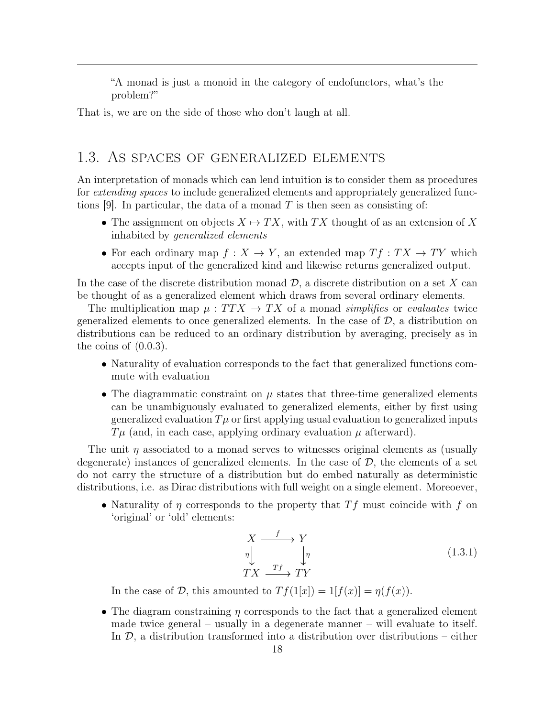"A monad is just a monoid in the category of endofunctors, what's the problem?"

That is, we are on the side of those who don't laugh at all.

#### <span id="page-18-0"></span>1.3. As spaces of generalized elements

An interpretation of monads which can lend intuition is to consider them as procedures for extending spaces to include generalized elements and appropriately generalized func-tions [\[9\]](#page-44-1). In particular, the data of a monad T is then seen as consisting of:

- The assignment on objects  $X \mapsto TX$ , with TX thought of as an extension of X inhabited by generalized elements
- For each ordinary map  $f: X \to Y$ , an extended map  $Tf: TX \to TY$  which accepts input of the generalized kind and likewise returns generalized output.

In the case of the discrete distribution monad  $\mathcal{D}$ , a discrete distribution on a set X can be thought of as a generalized element which draws from several ordinary elements.

The multiplication map  $\mu : TTX \to TX$  of a monad simplifies or evaluates twice generalized elements to once generalized elements. In the case of  $\mathcal{D}$ , a distribution on distributions can be reduced to an ordinary distribution by averaging, precisely as in the coins of [\(0.0.3\)](#page-4-0).

- Naturality of evaluation corresponds to the fact that generalized functions commute with evaluation
- The diagrammatic constraint on  $\mu$  states that three-time generalized elements can be unambiguously evaluated to generalized elements, either by first using generalized evaluation  $T\mu$  or first applying usual evaluation to generalized inputs  $T\mu$  (and, in each case, applying ordinary evaluation  $\mu$  afterward).

The unit  $\eta$  associated to a monad serves to witnesses original elements as (usually degenerate) instances of generalized elements. In the case of  $D$ , the elements of a set do not carry the structure of a distribution but do embed naturally as deterministic distributions, i.e. as Dirac distributions with full weight on a single element. Moreoever,

• Naturality of  $\eta$  corresponds to the property that  $Tf$  must coincide with f on 'original' or 'old' elements:

$$
\begin{array}{ccc}\nX & \xrightarrow{f} & Y \\
\eta & & \eta \\
TX & \xrightarrow{Tf} & TY\n\end{array} \tag{1.3.1}
$$

In the case of  $D$ , this amounted to  $Tf(1[x]) = 1[f(x)] = \eta(f(x))$ .

• The diagram constraining  $\eta$  corresponds to the fact that a generalized element made twice general – usually in a degenerate manner – will evaluate to itself. In  $\mathcal{D}$ , a distribution transformed into a distribution over distributions – either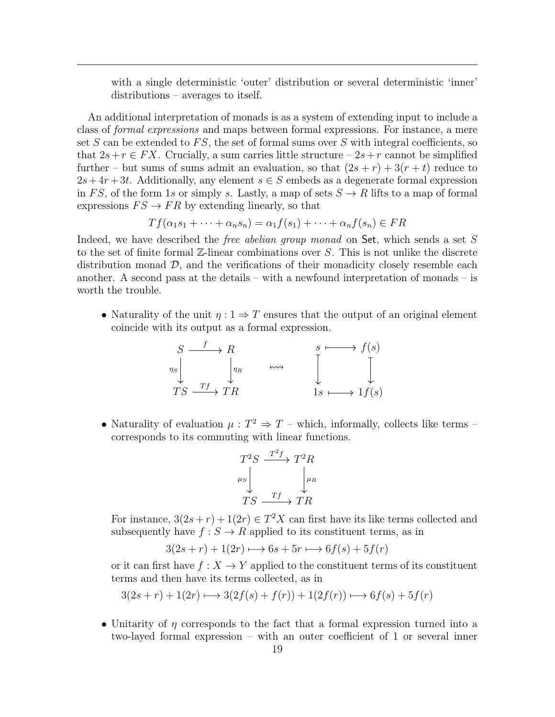with a single deterministic 'outer' distribution or several deterministic 'inner' distributions – averages to itself.

An additional interpretation of monads is as a system of extending input to include a class of formal expressions and maps between formal expressions. For instance, a mere set S can be extended to  $FS$ , the set of formal sums over S with integral coefficients, so that  $2s+r \in FX$ . Crucially, a sum carries little structure  $-2s+r$  cannot be simplified further – but sums of sums admit an evaluation, so that  $(2s + r) + 3(r + t)$  reduce to  $2s+4r+3t$ . Additionally, any element  $s \in S$  embeds as a degenerate formal expression in FS, of the form 1s or simply s. Lastly, a map of sets  $S \to R$  lifts to a map of formal expressions  $FS \to FR$  by extending linearly, so that

$$
Tf(\alpha_1s_1+\cdots+\alpha_ns_n)=\alpha_1f(s_1)+\cdots+\alpha_nf(s_n)\in FR
$$

Indeed, we have described the *free abelian group monad* on Set, which sends a set S to the set of finite formal  $\mathbb{Z}$ -linear combinations over S. This is not unlike the discrete distribution monad  $D$ , and the verifications of their monadicity closely resemble each another. A second pass at the details – with a newfound interpretation of monads – is worth the trouble.

• Naturality of the unit  $\eta: 1 \Rightarrow T$  ensures that the output of an original element coincide with its output as a formal expression.



• Naturality of evaluation  $\mu: T^2 \Rightarrow T$  – which, informally, collects like terms – corresponds to its commuting with linear functions.

$$
T^2S \xrightarrow{T^2f} T^2R
$$
  
\n
$$
\mu_S \downarrow \mu_R
$$
  
\n
$$
TS \xrightarrow{Tf} TR
$$

For instance,  $3(2s+r) + 1(2r) \in T^2X$  can first have its like terms collected and subsequently have  $f : S \to R$  applied to its constituent terms, as in

$$
3(2s+r) + 1(2r) \longrightarrow 6s + 5r \longmapsto 6f(s) + 5f(r)
$$

or it can first have  $f: X \to Y$  applied to the constituent terms of its constituent terms and then have its terms collected, as in

$$
3(2s+r) + 1(2r) \longrightarrow 3(2f(s) + f(r)) + 1(2f(r)) \longrightarrow 6f(s) + 5f(r)
$$

• Unitarity of η corresponds to the fact that a formal expression turned into a two-layed formal expression – with an outer coefficient of 1 or several inner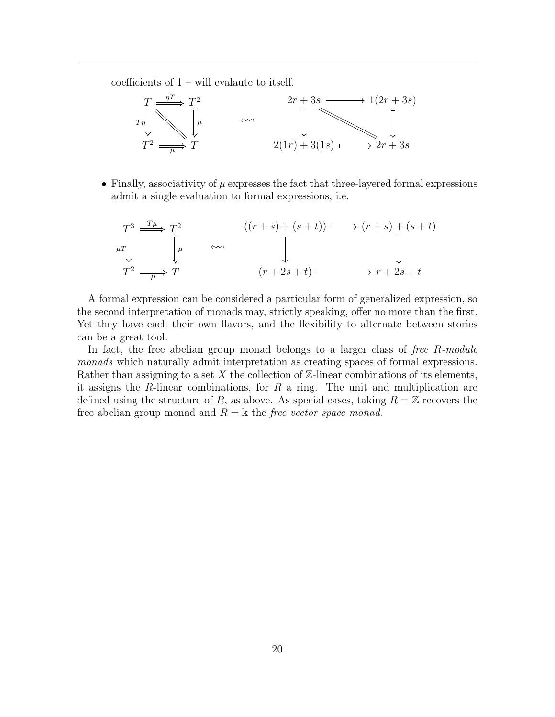coefficients of  $1 -$  will evalaute to itself.



• Finally, associativity of  $\mu$  expresses the fact that three-layered formal expressions admit a single evaluation to formal expressions, i.e.

$$
T^3 \xrightarrow{T\mu} T^2
$$
  
\n
$$
\downarrow^{T\mu} \qquad \qquad ((r+s)+(s+t)) \longmapsto (r+s)+(s+t)
$$
  
\n
$$
T^2 \xrightarrow{\mu} T
$$
  
\n
$$
(r+2s+t) \longmapsto r+2s+t
$$

A formal expression can be considered a particular form of generalized expression, so the second interpretation of monads may, strictly speaking, offer no more than the first. Yet they have each their own flavors, and the flexibility to alternate between stories can be a great tool.

In fact, the free abelian group monad belongs to a larger class of free R-module monads which naturally admit interpretation as creating spaces of formal expressions. Rather than assigning to a set X the collection of  $\mathbb{Z}$ -linear combinations of its elements, it assigns the R-linear combinations, for  $R$  a ring. The unit and multiplication are defined using the structure of R, as above. As special cases, taking  $R = \mathbb{Z}$  recovers the free abelian group monad and  $R = \mathbb{k}$  the free vector space monad.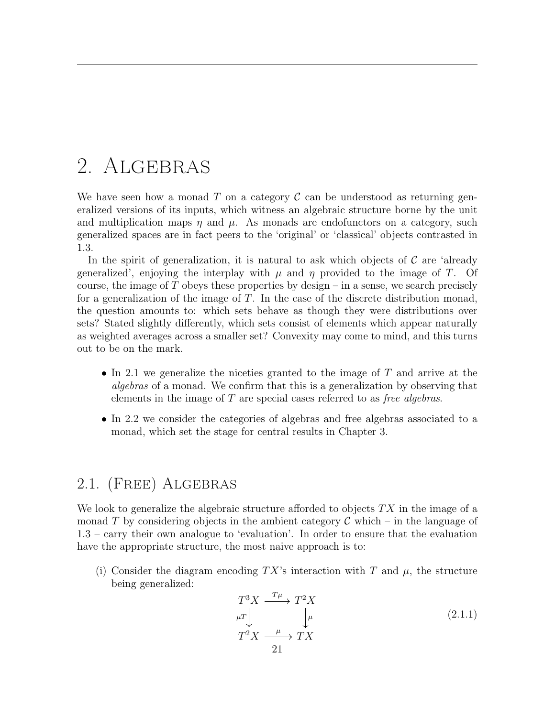# <span id="page-21-0"></span>2. ALGEBRAS

We have seen how a monad T on a category  $\mathcal C$  can be understood as returning generalized versions of its inputs, which witness an algebraic structure borne by the unit and multiplication maps  $\eta$  and  $\mu$ . As monads are endofunctors on a category, such generalized spaces are in fact peers to the 'original' or 'classical' objects contrasted in [1.3.](#page-18-0)

In the spirit of generalization, it is natural to ask which objects of  $\mathcal C$  are 'already' generalized', enjoying the interplay with  $\mu$  and  $\eta$  provided to the image of T. Of course, the image of  $T$  obeys these properties by design – in a sense, we search precisely for a generalization of the image of  $T$ . In the case of the discrete distribution monad, the question amounts to: which sets behave as though they were distributions over sets? Stated slightly differently, which sets consist of elements which appear naturally as weighted averages across a smaller set? Convexity may come to mind, and this turns out to be on the mark.

- In [2.1](#page-21-1) we generalize the niceties granted to the image of T and arrive at the algebras of a monad. We confirm that this is a generalization by observing that elements in the image of  $T$  are special cases referred to as *free algebras*.
- In [2.2](#page-25-0) we consider the categories of algebras and free algebras associated to a monad, which set the stage for central results in Chapter [3.](#page-28-0)

### <span id="page-21-1"></span>2.1. (Free) Algebras

We look to generalize the algebraic structure afforded to objects  $TX$  in the image of a monad T by considering objects in the ambient category  $\mathcal C$  which – in the language of [1.3](#page-18-0) – carry their own analogue to 'evaluation'. In order to ensure that the evaluation have the appropriate structure, the most naive approach is to:

(i) Consider the diagram encoding TX's interaction with T and  $\mu$ , the structure being generalized:

$$
T^{3}X \xrightarrow{T\mu} T^{2}X
$$
  
\n
$$
\mu T \downarrow \qquad \qquad \downarrow \mu
$$
  
\n
$$
T^{2}X \xrightarrow{\mu} TX
$$
  
\n
$$
T^{2}X \xrightarrow{\mu} TX
$$
  
\n(2.1.1)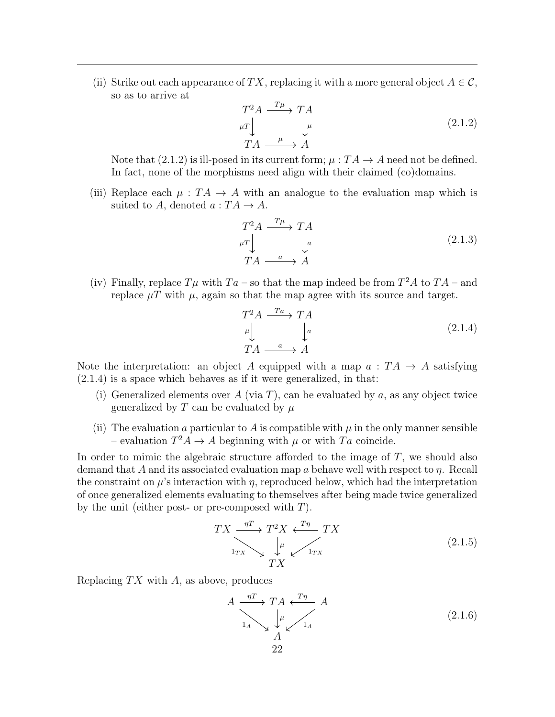(ii) Strike out each appearance of TX, replacing it with a more general object  $A \in \mathcal{C}$ , so as to arrive at

<span id="page-22-0"></span>
$$
\begin{array}{ccc}\nT^2 A & \xrightarrow{T\mu} T A \\
\mu & \downarrow^{\mu} \\
TA & \xrightarrow{\mu} A\n\end{array} \tag{2.1.2}
$$

Note that  $(2.1.2)$  is ill-posed in its current form;  $\mu: TA \rightarrow A$  need not be defined. In fact, none of the morphisms need align with their claimed (co)domains.

(iii) Replace each  $\mu : TA \rightarrow A$  with an analogue to the evaluation map which is suited to A, denoted  $a:TA\to A$ .

$$
T^{2}A \xrightarrow{T\mu} TA
$$
  
\n
$$
\mu T \downarrow \qquad \downarrow a
$$
  
\n
$$
TA \xrightarrow{a} A
$$
 (2.1.3)

(iv) Finally, replace  $T\mu$  with  $Ta$  – so that the map indeed be from  $T^2A$  to  $TA$  – and replace  $\mu T$  with  $\mu$ , again so that the map agree with its source and target.

<span id="page-22-1"></span>
$$
T^{2}A \xrightarrow{Ta} TA
$$
  
\n
$$
\downarrow^{a}
$$
  
\n
$$
TA \xrightarrow{a} A
$$
  
\n
$$
(2.1.4)
$$

Note the interpretation: an object A equipped with a map  $a: TA \rightarrow A$  satisfying [\(2.1.4\)](#page-22-1) is a space which behaves as if it were generalized, in that:

- (i) Generalized elements over A (via T), can be evaluated by a, as any object twice generalized by T can be evaluated by  $\mu$
- (ii) The evaluation a particular to A is compatible with  $\mu$  in the only manner sensible – evaluation  $T^2A \to A$  beginning with  $\mu$  or with  $Ta$  coincide.

In order to mimic the algebraic structure afforded to the image of T, we should also demand that A and its associated evaluation map a behave well with respect to  $\eta$ . Recall the constraint on  $\mu$ 's interaction with  $\eta$ , reproduced below, which had the interpretation of once generalized elements evaluating to themselves after being made twice generalized by the unit (either post- or pre-composed with  $T$ ).

<span id="page-22-2"></span>
$$
TX \xrightarrow[1_{TX}]{\eta T} T^2 X \xleftarrow[T\eta]{T\eta} TX
$$
  
\n
$$
TX \xrightarrow[TX]{\mu} (2.1.5)
$$

Replacing  $TX$  with A, as above, produces

$$
A \xrightarrow[1_A]{\eta T} TA \xleftarrow[\mu]{T\eta} A
$$
  
\n
$$
A \xrightarrow[1_A]{\mu} A
$$
  
\n
$$
22
$$
\n(2.1.6)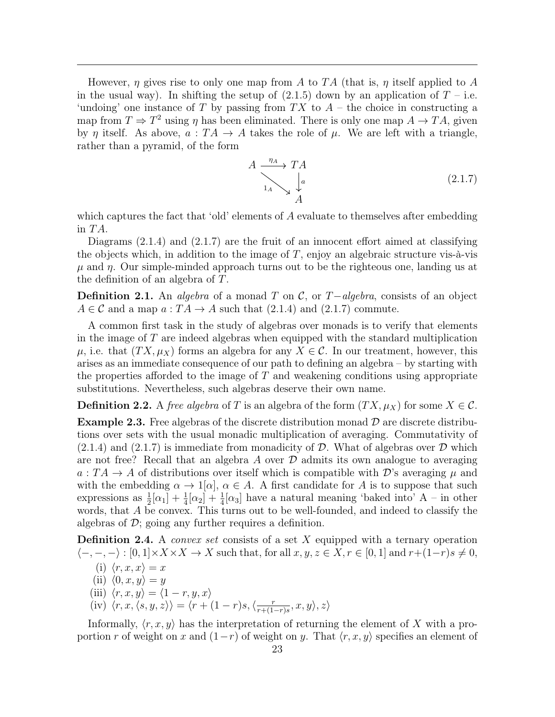However,  $\eta$  gives rise to only one map from A to TA (that is,  $\eta$  itself applied to A in the usual way). In shifting the setup of  $(2.1.5)$  down by an application of  $T$  – i.e. 'undoing' one instance of T by passing from  $TX$  to  $A$  – the choice in constructing a map from  $T \Rightarrow T^2$  using  $\eta$  has been eliminated. There is only one map  $A \rightarrow TA$ , given by  $\eta$  itself. As above,  $a: TA \rightarrow A$  takes the role of  $\mu$ . We are left with a triangle, rather than a pyramid, of the form

<span id="page-23-0"></span>
$$
A \xrightarrow{\eta_A} T A
$$
  
\n
$$
\downarrow_a
$$
  
\n
$$
A
$$
  
\n(2.1.7)

which captures the fact that 'old' elements of A evaluate to themselves after embedding in  $TA$ .

Diagrams [\(2.1.4\)](#page-22-1) and [\(2.1.7\)](#page-23-0) are the fruit of an innocent effort aimed at classifying the objects which, in addition to the image of  $T$ , enjoy an algebraic structure vis-à-vis  $\mu$  and  $\eta$ . Our simple-minded approach turns out to be the righteous one, landing us at the definition of an algebra of T.

**Definition 2.1.** An *algebra* of a monad T on C, or  $T$ −algebra, consists of an object  $A \in \mathcal{C}$  and a map  $a: TA \to A$  such that [\(2.1.4\)](#page-22-1) and [\(2.1.7\)](#page-23-0) commute.

A common first task in the study of algebras over monads is to verify that elements in the image of  $T$  are indeed algebras when equipped with the standard multiplication  $\mu$ , i.e. that  $(T X, \mu_X)$  forms an algebra for any  $X \in \mathcal{C}$ . In our treatment, however, this arises as an immediate consequence of our path to defining an algebra – by starting with the properties afforded to the image of  $T$  and weakening conditions using appropriate substitutions. Nevertheless, such algebras deserve their own name.

**Definition 2.2.** A free algebra of T is an algebra of the form  $(T X, \mu_X)$  for some  $X \in \mathcal{C}$ .

**Example 2.3.** Free algebras of the discrete distribution monad  $\mathcal{D}$  are discrete distributions over sets with the usual monadic multiplication of averaging. Commutativity of  $(2.1.4)$  and  $(2.1.7)$  is immediate from monadicity of D. What of algebras over D which are not free? Recall that an algebra A over  $\mathcal D$  admits its own analogue to averaging  $a: TA \rightarrow A$  of distributions over itself which is compatible with D's averaging  $\mu$  and with the embedding  $\alpha \to 1[\alpha], \alpha \in A$ . A first candidate for A is to suppose that such expressions as  $\frac{1}{2}[\alpha_1] + \frac{1}{4}[\alpha_2] + \frac{1}{4}[\alpha_3]$  have a natural meaning 'baked into' A – in other words, that A be convex. This turns out to be well-founded, and indeed to classify the algebras of  $\mathcal{D}$ ; going any further requires a definition.

<span id="page-23-1"></span>**Definition 2.4.** A *convex set* consists of a set X equipped with a ternary operation  $\langle -, -, - \rangle : [0, 1] \times X \times X \to X$  such that, for all  $x, y, z \in X, r \in [0, 1]$  and  $r + (1-r)s \neq 0$ ,

(i)  $\langle r, x, x \rangle = x$ 

- (ii)  $\langle 0, x, y \rangle = y$
- (iii)  $\langle r, x, y \rangle = \langle 1 r, y, x \rangle$
- (iv)  $\langle r, x, \langle s, y, z \rangle \rangle = \langle r + (1 r)s, \langle \frac{r}{r + (1 r)} \rangle$  $\frac{r}{r+(1-r)s}, x, y \rangle, z \rangle$

Informally,  $\langle r, x, y \rangle$  has the interpretation of returning the element of X with a proportion r of weight on x and  $(1-r)$  of weight on y. That  $\langle r, x, y \rangle$  specifies an element of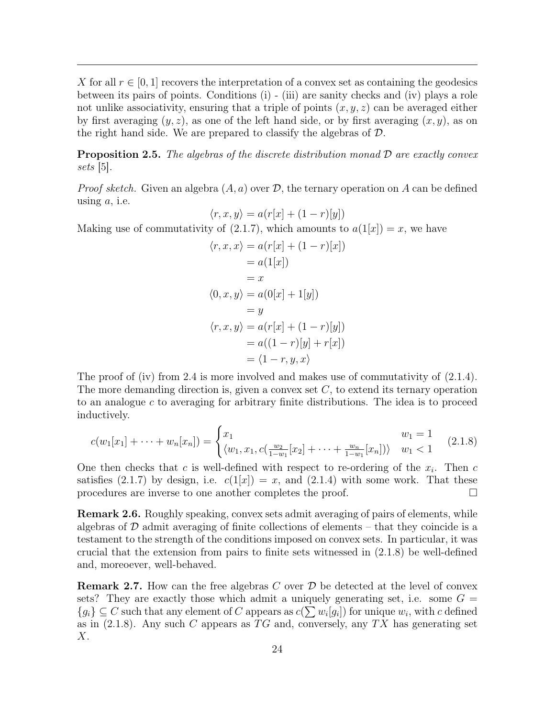X for all  $r \in [0,1]$  recovers the interpretation of a convex set as containing the geodesics between its pairs of points. Conditions (i) - (iii) are sanity checks and (iv) plays a role not unlike associativity, ensuring that a triple of points  $(x, y, z)$  can be averaged either by first averaging  $(y, z)$ , as one of the left hand side, or by first averaging  $(x, y)$ , as on the right hand side. We are prepared to classify the algebras of  $\mathcal{D}$ .

<span id="page-24-1"></span>**Proposition 2.5.** The algebras of the discrete distribution monad  $\mathcal{D}$  are exactly convex sets [\[5\]](#page-44-10).

*Proof sketch.* Given an algebra  $(A, a)$  over  $D$ , the ternary operation on A can be defined using  $a$ , i.e.

$$
\langle r, x, y \rangle = a(r[x] + (1 - r)[y])
$$

Making use of commutativity of [\(2.1.7\)](#page-23-0), which amounts to  $a(1[x]) = x$ , we have

$$
\langle r, x, x \rangle = a(r[x] + (1 - r)[x])
$$
  
=  $a(1[x])$   
= x  

$$
\langle 0, x, y \rangle = a(0[x] + 1[y])
$$
  
= y  

$$
\langle r, x, y \rangle = a(r[x] + (1 - r)[y])
$$
  
=  $a((1 - r)[y] + r[x])$   
=  $\langle 1 - r, y, x \rangle$ 

The proof of (iv) from [2.4](#page-23-1) is more involved and makes use of commutativity of  $(2.1.4)$ . The more demanding direction is, given a convex set  $C$ , to extend its ternary operation to an analogue  $c$  to averaging for arbitrary finite distributions. The idea is to proceed inductively.

<span id="page-24-0"></span>
$$
c(w_1[x_1] + \dots + w_n[x_n]) = \begin{cases} x_1 & w_1 = 1\\ \langle w_1, x_1, c(\frac{w_2}{1 - w_1}[x_2] + \dots + \frac{w_n}{1 - w_1}[x_n]) \rangle & w_1 < 1 \end{cases}
$$
(2.1.8)

One then checks that c is well-defined with respect to re-ordering of the  $x_i$ . Then c satisfies [\(2.1.7\)](#page-23-0) by design, i.e.  $c(1|x|) = x$ , and [\(2.1.4\)](#page-22-1) with some work. That these procedures are inverse to one another completes the proof.

Remark 2.6. Roughly speaking, convex sets admit averaging of pairs of elements, while algebras of  $\mathcal D$  admit averaging of finite collections of elements – that they coincide is a testament to the strength of the conditions imposed on convex sets. In particular, it was crucial that the extension from pairs to finite sets witnessed in [\(2.1.8\)](#page-24-0) be well-defined and, moreoever, well-behaved.

**Remark 2.7.** How can the free algebras C over  $\mathcal{D}$  be detected at the level of convex sets? They are exactly those which admit a uniquely generating set, i.e. some  $G =$  ${g_i} \subseteq C$  such that any element of C appears as  $c(\sum w_i[g_i])$  for unique  $w_i$ , with c defined as in  $(2.1.8)$ . Any such C appears as TG and, conversely, any TX has generating set  $X$ .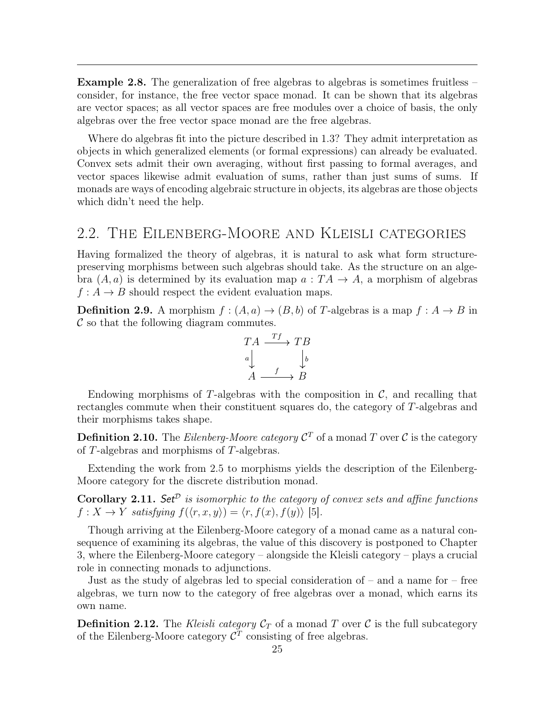Example 2.8. The generalization of free algebras to algebras is sometimes fruitless – consider, for instance, the free vector space monad. It can be shown that its algebras are vector spaces; as all vector spaces are free modules over a choice of basis, the only algebras over the free vector space monad are the free algebras.

Where do algebras fit into the picture described in [1.3?](#page-18-0) They admit interpretation as objects in which generalized elements (or formal expressions) can already be evaluated. Convex sets admit their own averaging, without first passing to formal averages, and vector spaces likewise admit evaluation of sums, rather than just sums of sums. If monads are ways of encoding algebraic structure in objects, its algebras are those objects which didn't need the help.

### <span id="page-25-0"></span>2.2. The Eilenberg-Moore and Kleisli categories

Having formalized the theory of algebras, it is natural to ask what form structurepreserving morphisms between such algebras should take. As the structure on an algebra  $(A, a)$  is determined by its evaluation map  $a: TA \rightarrow A$ , a morphism of algebras  $f: A \rightarrow B$  should respect the evident evaluation maps.

**Definition 2.9.** A morphism  $f : (A, a) \to (B, b)$  of T-algebras is a map  $f : A \to B$  in  $\mathcal C$  so that the following diagram commutes.

$$
TA \xrightarrow{Tf} TB
$$
  
\n
$$
a \downarrow \qquad \qquad \downarrow b
$$
  
\n
$$
A \xrightarrow{f} B
$$

Endowing morphisms of T-algebras with the composition in  $\mathcal{C}$ , and recalling that rectangles commute when their constituent squares do, the category of T-algebras and their morphisms takes shape.

**Definition 2.10.** The *Eilenberg-Moore category*  $\mathcal{C}^T$  of a monad T over  $\mathcal{C}$  is the category of T-algebras and morphisms of T-algebras.

Extending the work from [2.5](#page-24-1) to morphisms yields the description of the Eilenberg-Moore category for the discrete distribution monad.

<span id="page-25-2"></span>**Corollary 2.11.** Set<sup> $\mathcal{D}$ </sup> is isomorphic to the category of convex sets and affine functions  $f: X \to Y$  satisfying  $f(\langle r, x, y \rangle) = \langle r, f(x), f(y) \rangle$  [\[5\]](#page-44-10).

Though arriving at the Eilenberg-Moore category of a monad came as a natural consequence of examining its algebras, the value of this discovery is postponed to Chapter [3,](#page-28-0) where the Eilenberg-Moore category – alongside the Kleisli category – plays a crucial role in connecting monads to adjunctions.

Just as the study of algebras led to special consideration of – and a name for – free algebras, we turn now to the category of free algebras over a monad, which earns its own name.

<span id="page-25-1"></span>**Definition 2.12.** The Kleisli category  $C_T$  of a monad T over C is the full subcategory of the Eilenberg-Moore category  $\mathcal{C}^T$  consisting of free algebras.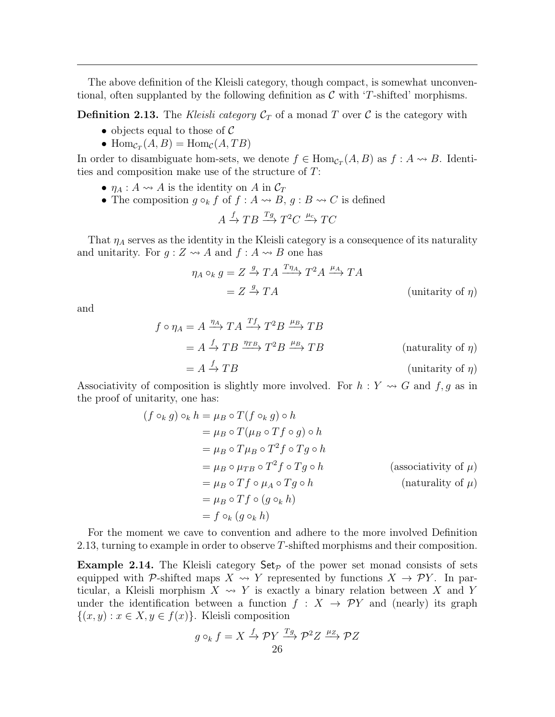The above definition of the Kleisli category, though compact, is somewhat unconventional, often supplanted by the following definition as  $\mathcal C$  with 'T-shifted' morphisms.

<span id="page-26-0"></span>**Definition 2.13.** The Kleisli category  $C_T$  of a monad T over C is the category with

- objects equal to those of  $\mathcal C$
- $\text{Hom}_{\mathcal{C}_T}(A, B) = \text{Hom}_{\mathcal{C}}(A, TB)$

In order to disambiguate hom-sets, we denote  $f \in Hom_{\mathcal{C}_T}(A, B)$  as  $f : A \rightarrow B$ . Identities and composition make use of the structure of T:

- $\eta_A : A \leadsto A$  is the identity on A in  $\mathcal{C}_T$
- The composition  $g \circ_k f$  of  $f : A \rightarrow B$ ,  $g : B \rightarrow C$  is defined

$$
A \xrightarrow{f} TB \xrightarrow{Tg} T^2C \xrightarrow{\mu_c} TC
$$

That  $\eta_A$  serves as the identity in the Kleisli category is a consequence of its naturality and unitarity. For  $g: Z \rightarrow A$  and  $f: A \rightarrow B$  one has

$$
\eta_A \circ_k g = Z \xrightarrow{g} TA \xrightarrow{T\eta_A} T^2 A \xrightarrow{\mu_A} TA
$$
  
=  $Z \xrightarrow{g} TA$  (unitarity of  $\eta$ )

and

$$
f \circ \eta_A = A \xrightarrow{\eta_A} TA \xrightarrow{\gamma_f} T^2 B \xrightarrow{\mu_B} TB
$$
  
=  $A \xrightarrow{f} TB \xrightarrow{\eta_{TB}} T^2 B \xrightarrow{\mu_B} TB$  (naturally of  $\eta$ )  
=  $A \xrightarrow{f} TB$  (unitarity of  $\eta$ )

Associativity of composition is slightly more involved. For  $h: Y \rightsquigarrow G$  and  $f, g$  as in the proof of unitarity, one has:

$$
(f \circ_k g) \circ_k h = \mu_B \circ T(f \circ_k g) \circ h
$$
  
=  $\mu_B \circ T(\mu_B \circ Tf \circ g) \circ h$   
=  $\mu_B \circ T\mu_B \circ T^2 f \circ Tg \circ h$   
=  $\mu_B \circ \mu_{TB} \circ T^2 f \circ Tg \circ h$  (associativity of  $\mu$ )  
=  $\mu_B \circ Tf \circ \mu_A \circ Tg \circ h$  (naturally of  $\mu$ )  
=  $\mu_B \circ Tf \circ (g \circ_k h)$   
=  $f \circ_k (g \circ_k h)$ 

For the moment we cave to convention and adhere to the more involved Definition [2.13,](#page-26-0) turning to example in order to observe T-shifted morphisms and their composition.

**Example 2.14.** The Kleisli category  $Set_{\mathcal{P}}$  of the power set monad consists of sets equipped with P-shifted maps  $X \rightsquigarrow Y$  represented by functions  $X \rightarrow \mathcal{P}Y$ . In particular, a Kleisli morphism  $X \rightsquigarrow Y$  is exactly a binary relation between X and Y under the identification between a function  $f : X \rightarrow \mathcal{P}Y$  and (nearly) its graph  $\{(x,y): x \in X, y \in f(x)\}.$  Kleisli composition

$$
g \circ_k f = X \xrightarrow{f} \mathcal{P}Y \xrightarrow{Tg} \mathcal{P}^2 Z \xrightarrow{\mu_Z} \mathcal{P}Z
$$
  
26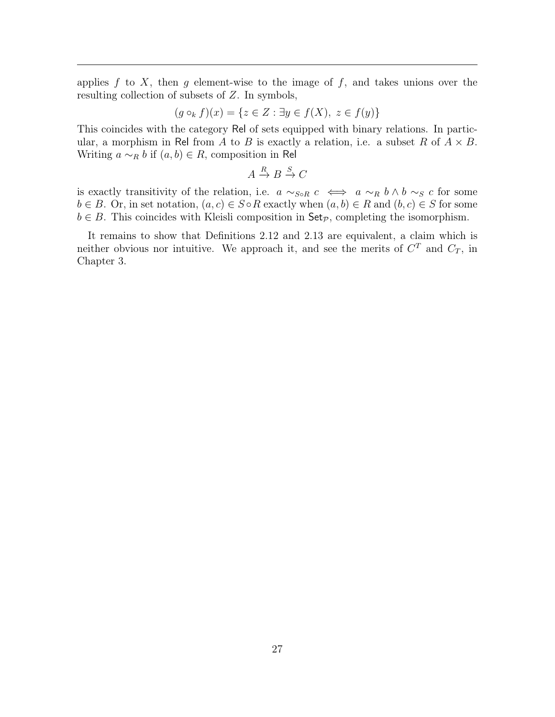applies  $f$  to  $X$ , then  $g$  element-wise to the image of  $f$ , and takes unions over the resulting collection of subsets of Z. In symbols,

$$
(g \circ_k f)(x) = \{ z \in Z : \exists y \in f(X), \ z \in f(y) \}
$$

This coincides with the category Rel of sets equipped with binary relations. In particular, a morphism in Rel from A to B is exactly a relation, i.e. a subset R of  $A \times B$ . Writing  $a \sim_R b$  if  $(a, b) \in R$ , composition in Rel

$$
A \xrightarrow{R} B \xrightarrow{S} C
$$

is exactly transitivity of the relation, i.e.  $a \sim_{S \circ R} c \iff a \sim_R b \land b \sim_S c$  for some  $b \in B$ . Or, in set notation,  $(a, c) \in S \circ R$  exactly when  $(a, b) \in R$  and  $(b, c) \in S$  for some  $b \in B$ . This coincides with Kleisli composition in  $\mathsf{Set}_{\mathcal{P}}$ , completing the isomorphism.

It remains to show that Definitions [2.12](#page-25-1) and [2.13](#page-26-0) are equivalent, a claim which is neither obvious nor intuitive. We approach it, and see the merits of  $C^{T}$  and  $C_{T}$ , in Chapter [3.](#page-28-0)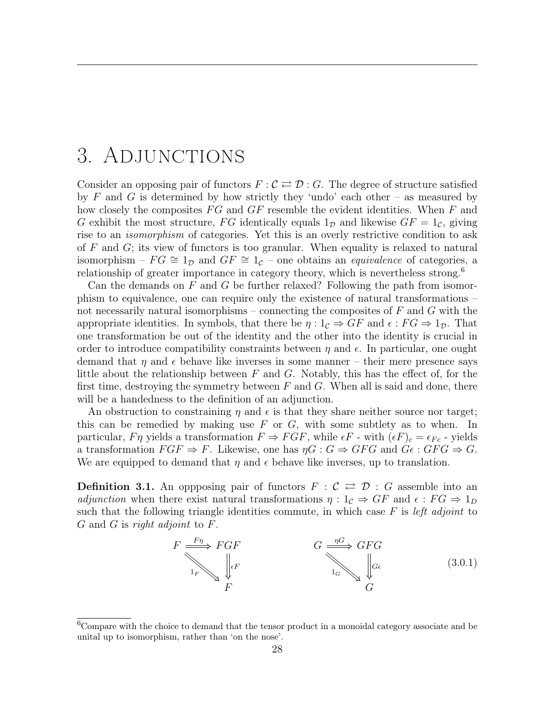# <span id="page-28-0"></span>3. Adjunctions

Consider an opposing pair of functors  $F: \mathcal{C} \rightleftarrows \mathcal{D}: G$ . The degree of structure satisfied by F and G is determined by how strictly they 'undo' each other – as measured by how closely the composites  $FG$  and  $GF$  resemble the evident identities. When  $F$  and G exhibit the most structure, FG identically equals  $1<sub>D</sub>$  and likewise  $GF = 1<sub>C</sub>$ , giving rise to an isomorphism of categories. Yet this is an overly restrictive condition to ask of  $F$  and  $G$ ; its view of functors is too granular. When equality is relaxed to natural isomorphism –  $FG \cong 1_D$  and  $GF \cong 1_C$  – one obtains an *equivalence* of categories, a relationship of greater importance in category theory, which is nevertheless strong.<sup>[6](#page-28-1)</sup>

Can the demands on  $F$  and  $G$  be further relaxed? Following the path from isomorphism to equivalence, one can require only the existence of natural transformations – not necessarily natural isomorphisms – connecting the composites of  $F$  and  $G$  with the appropriate identities. In symbols, that there be  $\eta: 1_{\mathcal{C}} \Rightarrow GF$  and  $\epsilon: FG \Rightarrow 1_{\mathcal{D}}$ . That one transformation be out of the identity and the other into the identity is crucial in order to introduce compatibility constraints between  $\eta$  and  $\epsilon$ . In particular, one ought demand that  $\eta$  and  $\epsilon$  behave like inverses in some manner – their mere presence says little about the relationship between  $F$  and  $G$ . Notably, this has the effect of, for the first time, destroying the symmetry between  $F$  and  $G$ . When all is said and done, there will be a handedness to the definition of an adjunction.

An obstruction to constraining  $\eta$  and  $\epsilon$  is that they share neither source nor target; this can be remedied by making use  $F$  or  $G$ , with some subtlety as to when. In particular,  $F\eta$  yields a transformation  $F \Rightarrow FGF$ , while  $\epsilon F$  - with  $(\epsilon F)_c = \epsilon_{Fc}$  - yields a transformation  $FGF \Rightarrow F$ . Likewise, one has  $\eta G : G \Rightarrow GFG$  and  $G\epsilon : GFG \Rightarrow G$ . We are equipped to demand that  $\eta$  and  $\epsilon$  behave like inverses, up to translation.

<span id="page-28-2"></span>**Definition 3.1.** An oppposing pair of functors  $F : \mathcal{C} \rightleftarrows \mathcal{D} : G$  assemble into an adjunction when there exist natural transformations  $\eta: 1_{\mathcal{C}} \Rightarrow GF$  and  $\epsilon: FG \Rightarrow 1_D$ such that the following triangle identities commute, in which case  $F$  is left adjoint to  $G$  and  $G$  is right adjoint to  $F$ .



<span id="page-28-1"></span><sup>&</sup>lt;sup>6</sup>Compare with the choice to demand that the tensor product in a monoidal category associate and be unital up to isomorphism, rather than 'on the nose'.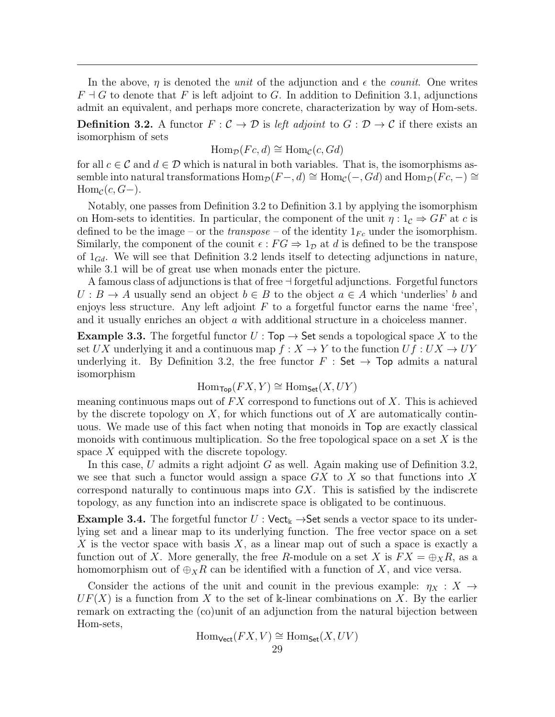In the above,  $\eta$  is denoted the *unit* of the adjunction and  $\epsilon$  the *counit*. One writes  $F \dashv G$  to denote that F is left adjoint to G. In addition to Definition [3.1,](#page-28-2) adjunctions admit an equivalent, and perhaps more concrete, characterization by way of Hom-sets.

<span id="page-29-0"></span>**Definition 3.2.** A functor  $F: \mathcal{C} \to \mathcal{D}$  is left adjoint to  $G: \mathcal{D} \to \mathcal{C}$  if there exists an isomorphism of sets

$$
\text{Hom}_{\mathcal{D}}(Fc,d) \cong \text{Hom}_{\mathcal{C}}(c,Gd)
$$

for all  $c \in \mathcal{C}$  and  $d \in \mathcal{D}$  which is natural in both variables. That is, the isomorphisms assemble into natural transformations  $\text{Hom}_{\mathcal{D}}(F-, d) \cong \text{Hom}_{\mathcal{C}}(-, Gd)$  and  $\text{Hom}_{\mathcal{D}}(Fc, -) \cong$  $\text{Hom}_{\mathcal{C}}(c, G-).$ 

Notably, one passes from Definition [3.2](#page-29-0) to Definition [3.1](#page-28-2) by applying the isomorphism on Hom-sets to identities. In particular, the component of the unit  $\eta: 1_{\mathcal{C}} \Rightarrow GF$  at c is defined to be the image – or the *transpose* – of the identity  $1_{Fc}$  under the isomorphism. Similarly, the component of the counit  $\epsilon$ :  $FG \Rightarrow 1_{\mathcal{D}}$  at d is defined to be the transpose of  $1_{Gd}$ . We will see that Definition [3.2](#page-29-0) lends itself to detecting adjunctions in nature, while [3.1](#page-28-2) will be of great use when monads enter the picture.

A famous class of adjunctions is that of free  $\exists$  forgetful adjunctions. Forgetful functors  $U : B \to A$  usually send an object  $b \in B$  to the object  $a \in A$  which 'underlies' b and enjoys less structure. Any left adjoint  $F$  to a forgetful functor earns the name 'free', and it usually enriches an object a with additional structure in a choiceless manner.

**Example 3.3.** The forgetful functor  $U : Top \rightarrow Set$  sends a topological space X to the set UX underlying it and a continuous map  $f: X \to Y$  to the function  $Uf: UX \to UY$ underlying it. By Definition [3.2,](#page-29-0) the free functor  $F : Set \rightarrow Top$  admits a natural isomorphism

$$
\operatorname{Hom}_{\mathsf{Top}}(FX, Y) \cong \operatorname{Hom}_{\mathsf{Set}}(X, UY)
$$

meaning continuous maps out of  $FX$  correspond to functions out of  $X$ . This is achieved by the discrete topology on  $X$ , for which functions out of  $X$  are automatically continuous. We made use of this fact when noting that monoids in Top are exactly classical monoids with continuous multiplication. So the free topological space on a set  $X$  is the space  $X$  equipped with the discrete topology.

In this case, U admits a right adjoint G as well. Again making use of Definition [3.2,](#page-29-0) we see that such a functor would assign a space  $GX$  to  $X$  so that functions into  $X$ correspond naturally to continuous maps into  $GX$ . This is satisfied by the indiscrete topology, as any function into an indiscrete space is obligated to be continuous.

**Example 3.4.** The forgetful functor  $U : \text{Vect}_{\mathbb{k}} \to \text{Set}$  sends a vector space to its underlying set and a linear map to its underlying function. The free vector space on a set X is the vector space with basis  $X$ , as a linear map out of such a space is exactly a function out of X. More generally, the free R-module on a set X is  $FX = \bigoplus_{X} R$ , as a homomorphism out of  $\bigoplus_{X}R$  can be identified with a function of X, and vice versa.

Consider the actions of the unit and counit in the previous example:  $\eta_X : X \to$  $UF(X)$  is a function from X to the set of k-linear combinations on X. By the earlier remark on extracting the (co)unit of an adjunction from the natural bijection between Hom-sets,

$$
\operatorname{Hom}_{\mathsf{Vect}}(FX, V) \cong \operatorname{Hom}_{\mathsf{Set}}(X, UV)
$$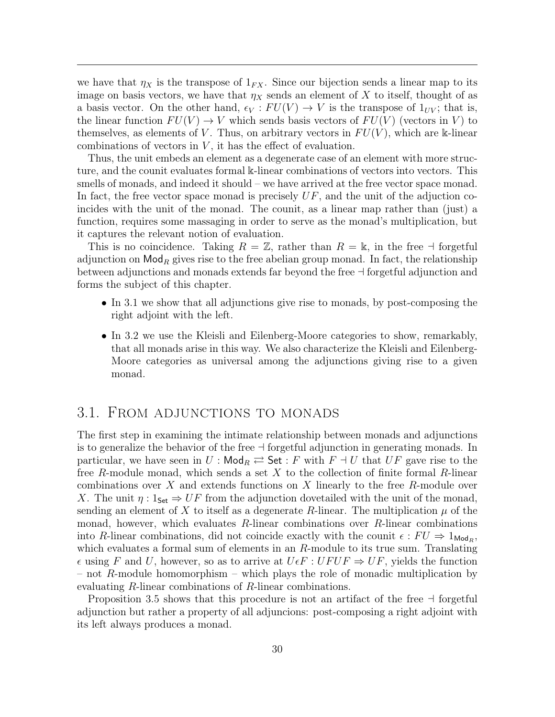we have that  $\eta_X$  is the transpose of  $1_{FX}$ . Since our bijection sends a linear map to its image on basis vectors, we have that  $\eta_X$  sends an element of X to itself, thought of as a basis vector. On the other hand,  $\epsilon_V : FU(V) \to V$  is the transpose of  $1_{UV}$ ; that is, the linear function  $FU(V) \to V$  which sends basis vectors of  $FU(V)$  (vectors in V) to themselves, as elements of V. Thus, on arbitrary vectors in  $FU(V)$ , which are k-linear combinations of vectors in  $V$ , it has the effect of evaluation.

Thus, the unit embeds an element as a degenerate case of an element with more structure, and the counit evaluates formal k-linear combinations of vectors into vectors. This smells of monads, and indeed it should – we have arrived at the free vector space monad. In fact, the free vector space monad is precisely  $UF$ , and the unit of the adjuction coincides with the unit of the monad. The counit, as a linear map rather than (just) a function, requires some massaging in order to serve as the monad's multiplication, but it captures the relevant notion of evaluation.

This is no coincidence. Taking  $R = \mathbb{Z}$ , rather than  $R = \mathbb{R}$ , in the free  $\exists$  forgetful adjunction on  $\mathsf{Mod}_R$  gives rise to the free abelian group monad. In fact, the relationship between adjunctions and monads extends far beyond the free  $\exists$  forgetful adjunction and forms the subject of this chapter.

- In [3.1](#page-30-0) we show that all adjunctions give rise to monads, by post-composing the right adjoint with the left.
- In [3.2](#page-32-0) we use the Kleisli and Eilenberg-Moore categories to show, remarkably, that all monads arise in this way. We also characterize the Kleisli and Eilenberg-Moore categories as universal among the adjunctions giving rise to a given monad.

### <span id="page-30-0"></span>3.1. From adjunctions to monads

The first step in examining the intimate relationship between monads and adjunctions is to generalize the behavior of the free  $\dashv$  forgetful adjunction in generating monads. In particular, we have seen in  $U : \mathsf{Mod}_R \rightleftarrows \mathsf{Set} : F$  with  $F \dashv U$  that  $UF$  gave rise to the free R-module monad, which sends a set  $X$  to the collection of finite formal R-linear combinations over  $X$  and extends functions on  $X$  linearly to the free  $R$ -module over X. The unit  $\eta: 1_{\mathsf{Set}} \Rightarrow UF$  from the adjunction dovetailed with the unit of the monad, sending an element of X to itself as a degenerate R-linear. The multiplication  $\mu$  of the monad, however, which evaluates  $R$ -linear combinations over  $R$ -linear combinations into R-linear combinations, did not coincide exactly with the counit  $\epsilon : FU \Rightarrow 1_{\text{Mod}_R}$ , which evaluates a formal sum of elements in an  $R$ -module to its true sum. Translating  $\epsilon$  using F and U, however, so as to arrive at  $U \epsilon F : U F U F \Rightarrow U F$ , yields the function – not R-module homomorphism – which plays the role of monadic multiplication by evaluating R-linear combinations of R-linear combinations.

Proposition [3.5](#page-31-0) shows that this procedure is not an artifact of the free  $\dagger$  forgetful adjunction but rather a property of all adjuncions: post-composing a right adjoint with its left always produces a monad.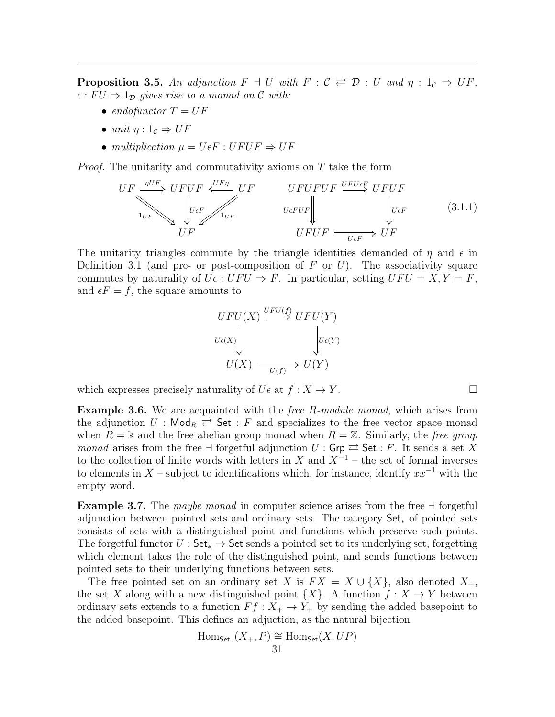<span id="page-31-0"></span>**Proposition 3.5.** An adjunction  $F \dashv U$  with  $F : \mathcal{C} \rightleftarrows \mathcal{D} : U$  and  $\eta : 1_{\mathcal{C}} \Rightarrow UF$ ,  $\epsilon$ :  $FU \Rightarrow 1_D$  gives rise to a monad on C with:

- endofunctor  $T = UF$
- unit  $\eta: 1_{\mathcal{C}} \Rightarrow UF$
- multiplication  $\mu = U \epsilon F : U F U F \Rightarrow U F$

Proof. The unitarity and commutativity axioms on T take the form

$$
UF \xrightarrow{\eta UF} UFUF \xleftarrow{UFn} UF \xleftarrow{UFn} UFUF \xrightarrow{UFUFUF} UFUF
$$
\n
$$
\downarrow^{\text{U}_{\text{E}} \text{U}_{\text{E}} \text{U}_{\text{E}} \text{U}_{\text{E}} \text{U}_{\text{E}} \text{U}_{\text{E}} \text{U}_{\text{E}} \text{U}_{\text{E}} \text{U}_{\text{E}} \text{U}_{\text{E}} \text{U}_{\text{E}} \text{U}_{\text{E}} \text{U}_{\text{E}} \text{U}_{\text{E}} \text{U}_{\text{E}} \text{U}_{\text{E}} \text{U}_{\text{E}} \text{U}_{\text{E}} \text{U}_{\text{E}} \text{U}_{\text{E}} \text{U}_{\text{E}} \text{U}_{\text{E}} \text{U}_{\text{E}} \text{U}_{\text{E}} \text{U}_{\text{E}} \text{U}_{\text{E}} \text{U}_{\text{E}} \text{U}_{\text{E}} \text{U}_{\text{E}} \text{U}_{\text{E}} \text{U}_{\text{E}} \text{U}_{\text{E}} \text{U}_{\text{E}} \text{U}_{\text{E}} \text{U}_{\text{E}} \text{U}_{\text{E}} \text{U}_{\text{E}} \text{U}_{\text{E}} \text{U}_{\text{E}} \text{U}_{\text{E}} \text{U}_{\text{E}} \text{U}_{\text{E}} \text{U}_{\text{E}} \text{U}_{\text{E}} \text{U}_{\text{E}} \text{U}_{\text{E}} \text{U}_{\text{E}} \text{U}_{\text{E}} \text{U}_{\text{E}} \text{U}_{\text{E}} \text{U}_{\text{E}} \text{U}_{\text{E}} \text{U}_{\text{E}} \text{U}_{\text{E}} \text{U}_{\text{E}} \text{U}_{\text{E}} \text{U}_{\text{E}} \text{U}_{\text{E}} \text{U}_{\text{E}} \text{U}_{\text{E}} \text{U}_{\text{E}} \text{U}_{\text{E}} \text{U}_{\text{E}} \text{U}_{\text{E}} \text{U}_{\text{E}} \text{U}_{\text{E}} \text{U}_{\text{E}} \text{U}_{\text{E}} \text{U}_{\text{E}} \text{U}_{\text{E}} \text{
$$

The unitarity triangles commute by the triangle identities demanded of  $\eta$  and  $\epsilon$  in Definition [3.1](#page-28-2) (and pre- or post-composition of  $F$  or  $U$ ). The associativity square commutes by naturality of  $U \in V : U F U \Rightarrow F$ . In particular, setting  $U F U = X, Y = F$ , and  $\epsilon F = f$ , the square amounts to

$$
UFU(X) \xrightarrow{UFU(f)} UFU(Y)
$$
  

$$
U\epsilon(X) \qquad \qquad \downarrow \qquad \qquad \downarrow U\epsilon(Y)
$$
  

$$
U(X) \xrightarrow{U(f)} U(Y)
$$

which expresses precisely naturality of  $U \in \text{at } f : X \to Y$ .

**Example 3.6.** We are acquainted with the *free R-module monad*, which arises from the adjunction  $U : \mathsf{Mod}_R \rightleftarrows \mathsf{Set} : F$  and specializes to the free vector space monad when  $R = \mathbb{K}$  and the free abelian group monad when  $R = \mathbb{Z}$ . Similarly, the free group *monad* arises from the free  $\neg$  forgetful adjunction  $U : \mathsf{Grp} \rightleftarrows \mathsf{Set} : F$ . It sends a set X to the collection of finite words with letters in X and  $X^{-1}$  – the set of formal inverses to elements in  $X$  – subject to identifications which, for instance, identify  $xx^{-1}$  with the empty word.

**Example 3.7.** The *maybe monad* in computer science arises from the free  $\exists$  forgetful adjunction between pointed sets and ordinary sets. The category Set<sup>∗</sup> of pointed sets consists of sets with a distinguished point and functions which preserve such points. The forgetful functor  $U : Set_* \to Set$  sends a pointed set to its underlying set, forgetting which element takes the role of the distinguished point, and sends functions between pointed sets to their underlying functions between sets.

The free pointed set on an ordinary set X is  $FX = X \cup \{X\}$ , also denoted  $X_+$ , the set X along with a new distinguished point  $\{X\}$ . A function  $f: X \to Y$  between ordinary sets extends to a function  $Ff : X_+ \to Y_+$  by sending the added basepoint to the added basepoint. This defines an adjuction, as the natural bijection

$$
\mathrm{Hom}_{\mathsf{Set}_*}(X_+, P) \cong \mathrm{Hom}_{\mathsf{Set}}(X, UP)
$$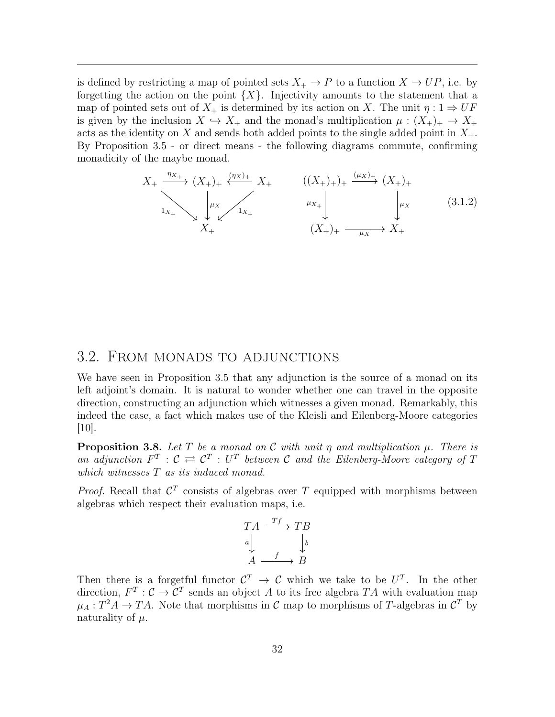is defined by restricting a map of pointed sets  $X_+ \to P$  to a function  $X \to UP$ , i.e. by forgetting the action on the point  $\{X\}$ . Injectivity amounts to the statement that a map of pointed sets out of  $X_+$  is determined by its action on X. The unit  $\eta: 1 \Rightarrow UF$ is given by the inclusion  $X \hookrightarrow X_+$  and the monad's multiplication  $\mu : (X_+)_{+} \to X_+$ acts as the identity on X and sends both added points to the single added point in  $X_{+}$ . By Proposition [3.5](#page-31-0) - or direct means - the following diagrams commute, confirming monadicity of the maybe monad.

$$
X_{+} \xrightarrow{\eta_{X_{+}}} (X_{+})_{+} \xleftarrow{\langle \eta_{X} \rangle_{+}} X_{+} \qquad ((X_{+})_{+})_{+} \xrightarrow{\langle \mu_{X} \rangle_{+}} (X_{+})_{+}
$$
\n
$$
\downarrow_{X_{+}} \qquad \downarrow_{X_{+}} \qquad \downarrow_{X_{+}} \qquad \downarrow_{X_{+}} \qquad (3.1.2)
$$
\n
$$
X_{+} \qquad \qquad (X_{+})_{+} \xrightarrow{\mu_{X}} X_{+}
$$

### <span id="page-32-0"></span>3.2. From monads to adjunctions

We have seen in Proposition [3.5](#page-31-0) that any adjunction is the source of a monad on its left adjoint's domain. It is natural to wonder whether one can travel in the opposite direction, constructing an adjunction which witnesses a given monad. Remarkably, this indeed the case, a fact which makes use of the Kleisli and Eilenberg-Moore categories [\[10\]](#page-44-4).

<span id="page-32-1"></span>**Proposition 3.8.** Let T be a monad on C with unit  $\eta$  and multiplication  $\mu$ . There is an adjunction  $F^T: \mathcal{C} \rightleftarrows \mathcal{C}^T: U^T$  between  $\mathcal{C}$  and the Eilenberg-Moore category of T which witnesses  $T$  as its induced monad.

*Proof.* Recall that  $\mathcal{C}^T$  consists of algebras over T equipped with morphisms between algebras which respect their evaluation maps, i.e.

$$
TA \xrightarrow{Tf} TB
$$
  
\n
$$
a \downarrow \qquad \qquad \downarrow b
$$
  
\n
$$
A \xrightarrow{f} B
$$

Then there is a forgetful functor  $\mathcal{C}^T \to \mathcal{C}$  which we take to be  $U^T$ . In the other direction,  $F^T: \mathcal{C} \to \mathcal{C}^T$  sends an object A to its free algebra TA with evaluation map  $\mu_A: T^2A \to TA$ . Note that morphisms in C map to morphisms of T-algebras in  $\mathcal{C}^T$  by naturality of  $\mu$ .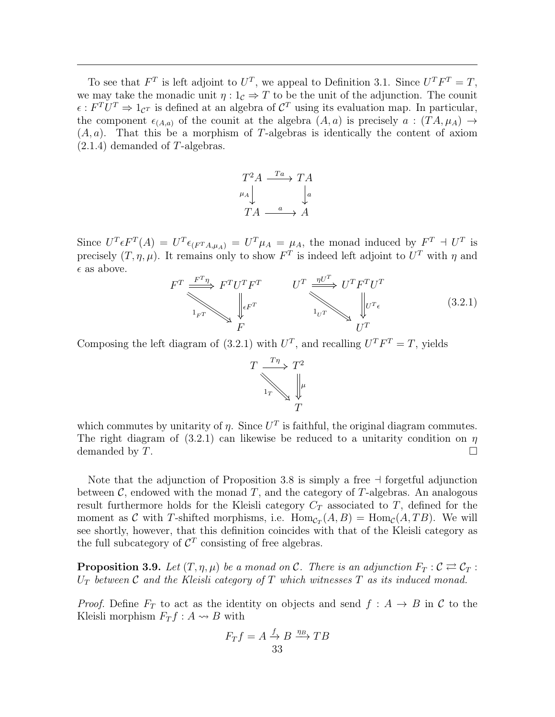To see that  $F^T$  is left adjoint to  $U^T$ , we appeal to Definition [3.1.](#page-28-2) Since  $U^T F^T = T$ , we may take the monadic unit  $\eta: 1_{\mathcal{C}} \Rightarrow T$  to be the unit of the adjunction. The counit  $\epsilon: F^T U^T \Rightarrow 1_{\mathcal{C}^T}$  is defined at an algebra of  $\mathcal{C}^T$  using its evaluation map. In particular, the component  $\epsilon_{(A,a)}$  of the counit at the algebra  $(A, a)$  is precisely  $a : (TA, \mu_A) \rightarrow$  $(A, a)$ . That this be a morphism of T-algebras is identically the content of axiom  $(2.1.4)$  demanded of T-algebras.



Since  $U^T \epsilon F^T(A) = U^T \epsilon_{(F^T A, \mu_A)} = U^T \mu_A = \mu_A$ , the monad induced by  $F^T \doteq U^T$  is precisely  $(T, \eta, \mu)$ . It remains only to show  $F<sup>T</sup>$  is indeed left adjoint to  $U<sup>T</sup>$  with  $\eta$  and  $\epsilon$  as above.

<span id="page-33-0"></span>
$$
F^T \xrightarrow{\underline{F^T \eta}} F^T U^T F^T \qquad \qquad U^T \xrightarrow{\underline{\eta U^T}} U^T F^T U^T
$$
\n
$$
\downarrow_{\Gamma} \qquad \qquad \downarrow_{\Gamma} \qquad \qquad \downarrow_{\Gamma} \qquad \qquad \downarrow_{\Gamma} \qquad \qquad (3.2.1)
$$
\n
$$
F \qquad \qquad \downarrow_{\Gamma} \qquad \qquad U^T
$$

Composing the left diagram of [\(3.2.1\)](#page-33-0) with  $U^T$ , and recalling  $U^T F^T = T$ , yields



which commutes by unitarity of  $\eta$ . Since  $U^T$  is faithful, the original diagram commutes. The right diagram of [\(3.2.1\)](#page-33-0) can likewise be reduced to a unitarity condition on  $\eta$ demanded by  $T$ .

Note that the adjunction of Proposition [3.8](#page-32-1) is simply a free  $\exists$  forgetful adjunction between  $\mathcal{C}$ , endowed with the monad T, and the category of T-algebras. An analogous result furthermore holds for the Kleisli category  $C_T$  associated to T, defined for the moment as C with T-shifted morphisms, i.e.  $\text{Hom}_{\mathcal{C}_T}(A, B) = \text{Hom}_{\mathcal{C}}(A, TB)$ . We will see shortly, however, that this definition coincides with that of the Kleisli category as the full subcategory of  $\mathcal{C}^T$  consisting of free algebras.

<span id="page-33-1"></span>**Proposition 3.9.** Let  $(T, \eta, \mu)$  be a monad on C. There is an adjunction  $F_T : C \rightleftarrows C_T$ :  $U_T$  between C and the Kleisli category of T which witnesses T as its induced monad.

*Proof.* Define  $F_T$  to act as the identity on objects and send  $f : A \rightarrow B$  in C to the Kleisli morphism  $F_T f : A \rightarrow B$  with

$$
F_T f = A \xrightarrow{f} B \xrightarrow{\eta_B} T B
$$
  
33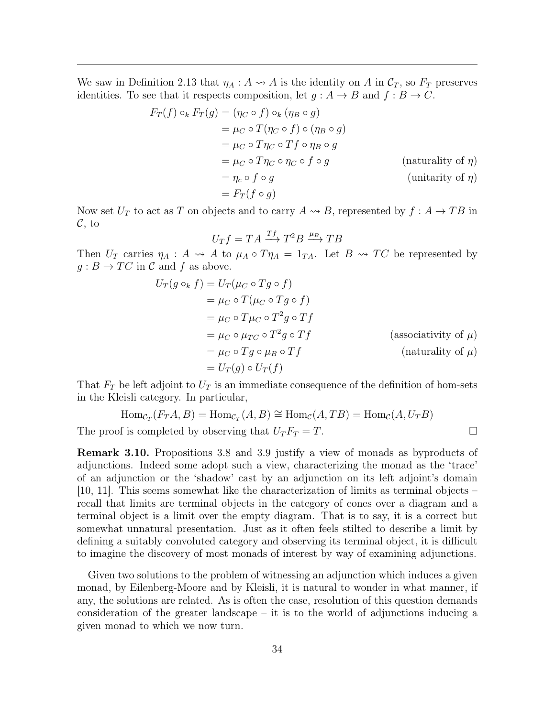We saw in Definition [2.13](#page-26-0) that  $\eta_A : A \rightarrow A$  is the identity on A in  $\mathcal{C}_T$ , so  $F_T$  preserves identities. To see that it respects composition, let  $q : A \rightarrow B$  and  $f : B \rightarrow C$ .

$$
F_T(f) \circ_k F_T(g) = (\eta_C \circ f) \circ_k (\eta_B \circ g)
$$
  
=  $\mu_C \circ T(\eta_C \circ f) \circ (\eta_B \circ g)$   
=  $\mu_C \circ T\eta_C \circ Tf \circ \eta_B \circ g$   
=  $\mu_C \circ T\eta_C \circ \eta_C \circ f \circ g$  (naturally of  $\eta$ )  
=  $\eta_c \circ f \circ g$  (unitarity of  $\eta$ )  
=  $F_T(f \circ g)$ 

Now set  $U_T$  to act as T on objects and to carry  $A \rightarrow B$ , represented by  $f : A \rightarrow TB$  in  $\mathcal{C}$ , to

$$
U_T f = TA \xrightarrow{Tf} T^2 B \xrightarrow{\mu_B} TB
$$

Then  $U_T$  carries  $\eta_A : A \leadsto A$  to  $\mu_A \circ T\eta_A = 1_{TA}$ . Let  $B \leadsto TC$  be represented by  $g : B \to TC$  in C and f as above.

$$
U_T(g \circ_k f) = U_T(\mu_C \circ Tg \circ f)
$$
  
=  $\mu_C \circ T(\mu_C \circ Tg \circ f)$   
=  $\mu_C \circ T\mu_C \circ T^2g \circ Tf$   
=  $\mu_C \circ \mu_{TC} \circ T^2g \circ Tf$  (associativity of  $\mu$ )  
=  $\mu_C \circ Tg \circ \mu_B \circ Tf$  (naturality of  $\mu$ )  
=  $U_T(g) \circ U_T(f)$ 

That  $F_T$  be left adjoint to  $U_T$  is an immediate consequence of the definition of hom-sets in the Kleisli category. In particular,

$$
Hom_{\mathcal{C}_T}(F_T A, B) = Hom_{\mathcal{C}_T}(A, B) \cong Hom_{\mathcal{C}}(A, TB) = Hom_{\mathcal{C}}(A, U_T B)
$$

The proof is completed by observing that  $U_T F_T = T$ .

Remark 3.10. Propositions [3.8](#page-32-1) and [3.9](#page-33-1) justify a view of monads as byproducts of adjunctions. Indeed some adopt such a view, characterizing the monad as the 'trace' of an adjunction or the 'shadow' cast by an adjunction on its left adjoint's domain [\[10,](#page-44-4) [11\]](#page-44-11). This seems somewhat like the characterization of limits as terminal objects – recall that limits are terminal objects in the category of cones over a diagram and a terminal object is a limit over the empty diagram. That is to say, it is a correct but somewhat unnatural presentation. Just as it often feels stilted to describe a limit by defining a suitably convoluted category and observing its terminal object, it is difficult to imagine the discovery of most monads of interest by way of examining adjunctions.

Given two solutions to the problem of witnessing an adjunction which induces a given monad, by Eilenberg-Moore and by Kleisli, it is natural to wonder in what manner, if any, the solutions are related. As is often the case, resolution of this question demands consideration of the greater landscape – it is to the world of adjunctions inducing a given monad to which we now turn.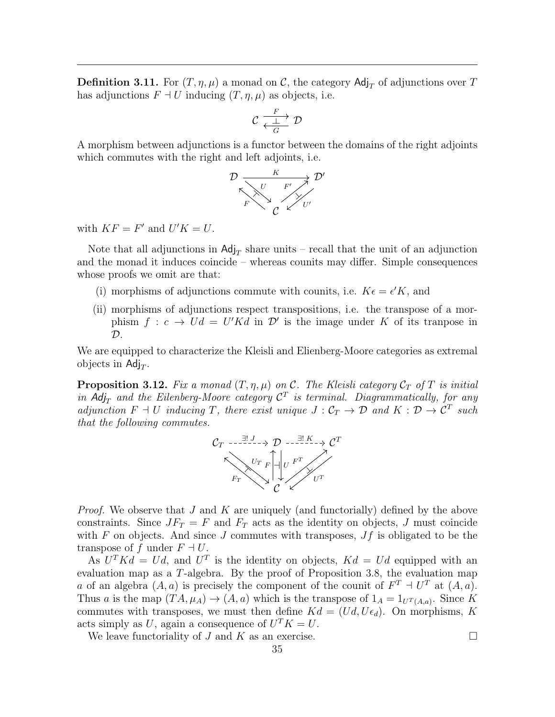**Definition 3.11.** For  $(T, \eta, \mu)$  a monad on C, the category Adj<sub>T</sub> of adjunctions over T has adjunctions  $F \dashv U$  inducing  $(T, \eta, \mu)$  as objects, i.e.

$$
\mathcal{C} \xrightarrow[\substack{F \ \bot \ \mathcal{D}}]{F} \mathcal{D}
$$

A morphism between adjunctions is a functor between the domains of the right adjoints which commutes with the right and left adjoints, i.e.



with  $KF = F'$  and  $U'K = U$ .

Note that all adjunctions in  $\text{Adj}_{T}$  share units – recall that the unit of an adjunction and the monad it induces coincide – whereas counits may differ. Simple consequences whose proofs we omit are that:

- (i) morphisms of adjunctions commute with counits, i.e.  $K\epsilon = \epsilon' K$ , and
- (ii) morphisms of adjunctions respect transpositions, i.e. the transpose of a morphism  $f : c \to Ud = U'Kd$  in  $\mathcal{D}'$  is the image under K of its transpose in  $\mathcal{D}$ .

We are equipped to characterize the Kleisli and Elienberg-Moore categories as extremal objects in  $\text{Adj}_T$ .

<span id="page-35-0"></span>**Proposition 3.12.** Fix a monad  $(T, \eta, \mu)$  on C. The Kleisli category  $\mathcal{C}_T$  of T is initial in Adj<sub>T</sub> and the Eilenberg-Moore category  $C<sup>T</sup>$  is terminal. Diagrammatically, for any adjunction  $F \dashv U$  inducing T, there exist unique  $J : C_T \to \mathcal{D}$  and  $K : \mathcal{D} \to \mathcal{C}^T$  such that the following commutes.



*Proof.* We observe that J and K are uniquely (and functorially) defined by the above constraints. Since  $JF_T = F$  and  $F_T$  acts as the identity on objects, J must coincide with F on objects. And since J commutes with transposes,  $Jf$  is obligated to be the transpose of f under  $F \dashv U$ .

As  $U<sup>T</sup> K d = U d$ , and  $U<sup>T</sup>$  is the identity on objects,  $K d = U d$  equipped with an evaluation map as a T-algebra. By the proof of Proposition [3.8,](#page-32-1) the evaluation map a of an algebra  $(A, a)$  is precisely the component of the counit of  $F<sup>T</sup> \dashv U<sup>T</sup>$  at  $(A, a)$ . Thus a is the map  $(TA, \mu_A) \to (A, a)$  which is the transpose of  $1_A = 1_{U^T(A, a)}$ . Since K commutes with transposes, we must then define  $Kd = (Ud, U\epsilon_d)$ . On morphisms, K acts simply as U, again a consequence of  $U^T K = U$ .

We leave functoriality of  $J$  and  $K$  as an exercise.  $\Box$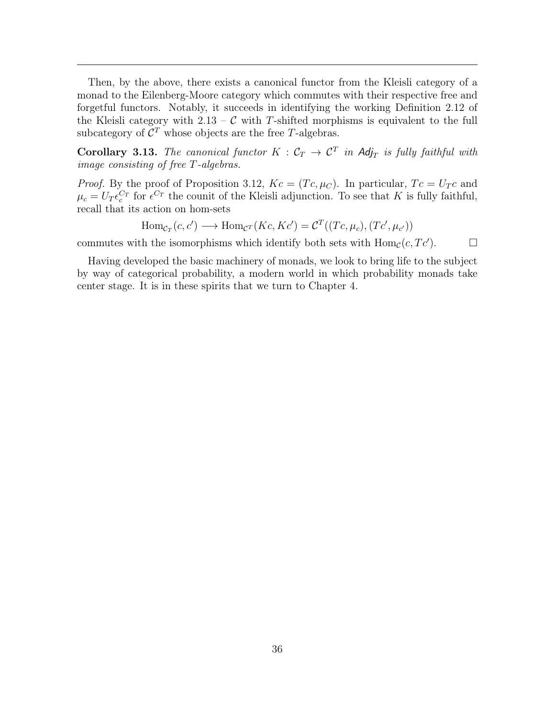Then, by the above, there exists a canonical functor from the Kleisli category of a monad to the Eilenberg-Moore category which commutes with their respective free and forgetful functors. Notably, it succeeds in identifying the working Definition [2.12](#page-25-1) of the Kleisli category with  $2.13 - C$  $2.13 - C$  with T-shifted morphisms is equivalent to the full subcategory of  $\mathcal{C}^T$  whose objects are the free T-algebras.

Corollary 3.13. The canonical functor  $K : \mathcal{C}_T \to \mathcal{C}^T$  in Adj<sub>T</sub> is fully faithful with image consisting of free T-algebras.

*Proof.* By the proof of Proposition [3.12,](#page-35-0)  $Kc = (Tc, \mu_C)$ . In particular,  $Tc = U_Tc$  and  $\mu_c = U_T \epsilon_c^{C_T}$  for  $\epsilon^{C_T}$  the counit of the Kleisli adjunction. To see that K is fully faithful, recall that its action on hom-sets

$$
\text{Hom}_{\mathcal{C}_T}(c, c') \longrightarrow \text{Hom}_{\mathcal{C}^T}(Kc, Kc') = \mathcal{C}^T((Tc, \mu_c), (Tc', \mu_{c'}))
$$

commutes with the isomorphisms which identify both sets with  $\text{Hom}_{\mathcal{C}}(c, T c')$ .  $\Box$ 

Having developed the basic machinery of monads, we look to bring life to the subject by way of categorical probability, a modern world in which probability monads take center stage. It is in these spirits that we turn to Chapter [4.](#page-37-0)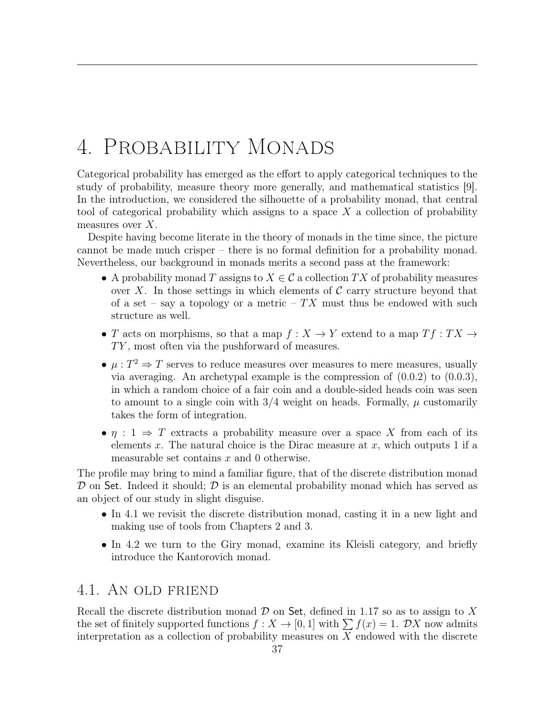# <span id="page-37-0"></span>4. Probability Monads

Categorical probability has emerged as the effort to apply categorical techniques to the study of probability, measure theory more generally, and mathematical statistics [\[9\]](#page-44-1). In the introduction, we considered the silhouette of a probability monad, that central tool of categorical probability which assigns to a space  $X$  a collection of probability measures over  $X$ .

Despite having become literate in the theory of monads in the time since, the picture cannot be made much crisper – there is no formal definition for a probability monad. Nevertheless, our background in monads merits a second pass at the framework:

- A probability monad T assigns to  $X \in \mathcal{C}$  a collection TX of probability measures over X. In those settings in which elements of  $\mathcal C$  carry structure beyond that of a set – say a topology or a metric –  $TX$  must thus be endowed with such structure as well.
- T acts on morphisms, so that a map  $f: X \to Y$  extend to a map  $Tf: TX \to Y$  $TY$ , most often via the pushforward of measures.
- $\mu: T^2 \Rightarrow T$  serves to reduce measures over measures to mere measures, usually via averaging. An archetypal example is the compression of [\(0.0.2\)](#page-3-2) to [\(0.0.3\)](#page-4-0), in which a random choice of a fair coin and a double-sided heads coin was seen to amount to a single coin with  $3/4$  weight on heads. Formally,  $\mu$  customarily takes the form of integration.
- $\eta : 1 \Rightarrow T$  extracts a probability measure over a space X from each of its elements x. The natural choice is the Dirac measure at  $x$ , which outputs 1 if a measurable set contains  $x$  and 0 otherwise.

The profile may bring to mind a familiar figure, that of the discrete distribution monad  $\mathcal D$  on Set. Indeed it should;  $\mathcal D$  is an elemental probability monad which has served as an object of our study in slight disguise.

- In [4.1](#page-37-1) we revisit the discrete distribution monad, casting it in a new light and making use of tools from Chapters [2](#page-21-0) and [3.](#page-28-0)
- In [4.2](#page-40-0) we turn to the Giry monad, examine its Kleisli category, and briefly introduce the Kantorovich monad.

### <span id="page-37-1"></span>4.1. An old friend

Recall the discrete distribution monad  $\mathcal D$  on Set, defined in [1.17](#page-17-0) so as to assign to X the set of finitely supported functions  $f: X \to [0,1]$  with  $\sum f(x) = 1$ . DX now admits interpretation as a collection of probability measures on  $X$  endowed with the discrete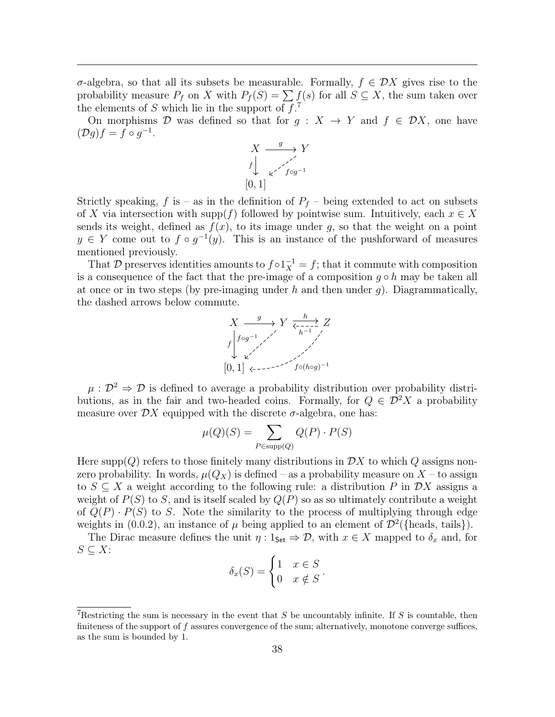σ-algebra, so that all its subsets be measurable. Formally, f ∈ DX gives rise to the probability measure  $P_f$  on X with  $P_f(S) = \sum f(s)$  for all  $S \subseteq X$ , the sum taken over the elements of S which lie in the support of  $f^2$ .

On morphisms D was defined so that for  $g: X \to Y$  and  $f \in \mathcal{D}X$ , one have  $(\mathcal{D}g)f = f \circ g^{-1}.$ 

$$
X \xrightarrow{g} Y
$$
  
\n
$$
f \downarrow \swarrow f \circ g^{-1}
$$
  
\n
$$
[0,1]
$$

Strictly speaking, f is – as in the definition of  $P_f$  – being extended to act on subsets of X via intersection with supp(f) followed by pointwise sum. Intuitively, each  $x \in X$ sends its weight, defined as  $f(x)$ , to its image under g, so that the weight on a point  $y \in Y$  come out to  $f \circ g^{-1}(y)$ . This is an instance of the pushforward of measures mentioned previously.

That D preserves identities amounts to  $f \circ 1_X^{-1} = f$ ; that it commute with composition is a consequence of the fact that the pre-image of a composition  $g \circ h$  may be taken all at once or in two steps (by pre-imaging under h and then under q). Diagrammatically, the dashed arrows below commute.



 $\mu : \mathcal{D}^2 \Rightarrow \mathcal{D}$  is defined to average a probability distribution over probability distributions, as in the fair and two-headed coins. Formally, for  $Q \in \mathcal{D}^2 X$  a probability measure over  $\mathcal{D}X$  equipped with the discrete  $\sigma$ -algebra, one has:

$$
\mu(Q)(S) = \sum_{P \in \text{supp}(Q)} Q(P) \cdot P(S)
$$

Here supp( $Q$ ) refers to those finitely many distributions in  $\mathcal{D}X$  to which  $Q$  assigns nonzero probability. In words,  $\mu(Q_X)$  is defined – as a probability measure on  $X$  – to assign to  $S \subseteq X$  a weight according to the following rule: a distribution P in  $\mathcal{D}X$  assigns a weight of  $P(S)$  to S, and is itself scaled by  $Q(P)$  so as so ultimately contribute a weight of  $Q(P) \cdot P(S)$  to S. Note the similarity to the process of multiplying through edge weights in [\(0.0.2\)](#page-3-2), an instance of  $\mu$  being applied to an element of  $\mathcal{D}^2$  ({heads, tails}).

The Dirac measure defines the unit  $\eta: 1_{\mathsf{Set}} \Rightarrow \mathcal{D}$ , with  $x \in X$  mapped to  $\delta_x$  and, for  $S \subseteq X$ :

| $\delta_x(S) = \begin{cases} 1 & x \in S \\ 0 & x \notin S \end{cases}$ |  |
|-------------------------------------------------------------------------|--|
|                                                                         |  |

<span id="page-38-0"></span>Restricting the sum is necessary in the event that S be uncountably infinite. If S is countable, then finiteness of the support of  $f$  assures convergence of the sum; alternatively, monotone converge suffices, as the sum is bounded by 1.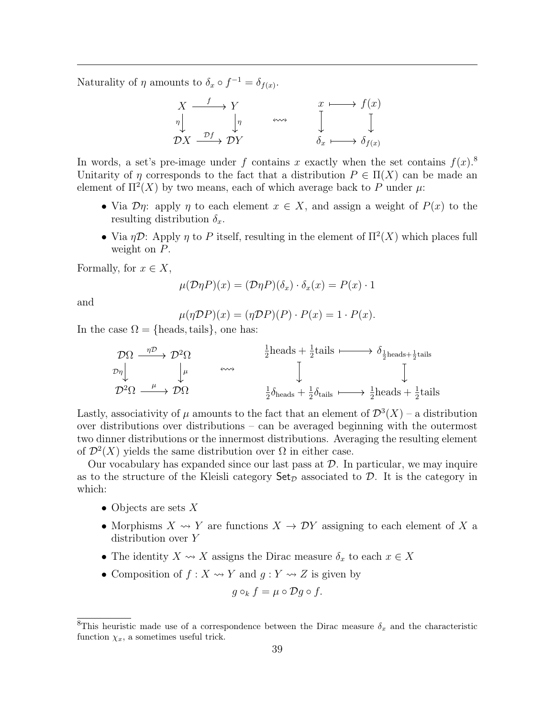Naturality of  $\eta$  amounts to  $\delta_x \circ f^{-1} = \delta_{f(x)}$ .

$$
\begin{array}{ccc}\nX & \xrightarrow{f} & Y \\
\eta & \downarrow & \\
\mathcal{D}X & \xrightarrow{\mathcal{D}f} & \mathcal{D}Y\n\end{array}\n\quad \begin{array}{ccc}\n\text{and} & x & \longmapsto & f(x) \\
\downarrow & & \downarrow & \\
\mathcal{D}X & \xrightarrow{\mathcal{D}f} & \mathcal{D}Y\n\end{array}
$$

In words, a set's pre-image under f contains x exactly when the set contains  $f(x)$ <sup>[8](#page-39-0)</sup> Unitarity of  $\eta$  corresponds to the fact that a distribution  $P \in \Pi(X)$  can be made an element of  $\Pi^2(X)$  by two means, each of which average back to P under  $\mu$ .

- Via  $\mathcal{D}\eta$ : apply  $\eta$  to each element  $x \in X$ , and assign a weight of  $P(x)$  to the resulting distribution  $\delta_x$ .
- Via  $\eta \mathcal{D}$ : Apply  $\eta$  to P itself, resulting in the element of  $\Pi^2(X)$  which places full weight on  $P$ .

Formally, for  $x \in X$ ,

$$
\mu(\mathcal{D}\eta P)(x) = (\mathcal{D}\eta P)(\delta_x) \cdot \delta_x(x) = P(x) \cdot 1
$$

and

$$
\mu(\eta \mathcal{D}P)(x) = (\eta \mathcal{D}P)(P) \cdot P(x) = 1 \cdot P(x).
$$

In the case  $\Omega = \{heads, tails\}$ , one has:

$$
\mathcal{D}\Omega \xrightarrow{\eta \mathcal{D}} \mathcal{D}^2 \Omega \qquad \xrightarrow{\frac{1}{2} \text{heads} + \frac{1}{2} \text{tails}} \qquad \qquad \mathcal{D}^2 \Omega \xrightarrow{\mu} \mathcal{D}^2 \Omega \xrightarrow{\mu} \mathcal{D} \Omega \qquad \qquad \downarrow \qquad \qquad \downarrow
$$
\n
$$
\mathcal{D}^2 \Omega \xrightarrow{\mu} \mathcal{D} \Omega \qquad \qquad \downarrow \qquad \qquad \frac{1}{2} \delta_{\text{heads}} + \frac{1}{2} \delta_{\text{tails}} \xrightarrow{\mu} \frac{1}{2} \text{heads} + \frac{1}{2} \text{tails}
$$

Lastly, associativity of  $\mu$  amounts to the fact that an element of  $\mathcal{D}^3(X)$  – a distribution over distributions over distributions – can be averaged beginning with the outermost two dinner distributions or the innermost distributions. Averaging the resulting element of  $\mathcal{D}^2(X)$  yields the same distribution over  $\Omega$  in either case.

Our vocabulary has expanded since our last pass at  $\mathcal{D}$ . In particular, we may inquire as to the structure of the Kleisli category  $\text{Set}_{\mathcal{D}}$  associated to  $\mathcal{D}$ . It is the category in which:

- Objects are sets  $X$
- Morphisms  $X \rightsquigarrow Y$  are functions  $X \rightarrow \mathcal{D}Y$  assigning to each element of X a distribution over Y
- The identity  $X \leadsto X$  assigns the Dirac measure  $\delta_x$  to each  $x \in X$
- Composition of  $f: X \rightsquigarrow Y$  and  $g: Y \rightsquigarrow Z$  is given by

$$
g\circ_k f = \mu \circ \mathcal{D}g \circ f.
$$

<span id="page-39-0"></span><sup>&</sup>lt;sup>8</sup>This heuristic made use of a correspondence between the Dirac measure  $\delta_x$  and the characteristic function  $\chi_x$ , a sometimes useful trick.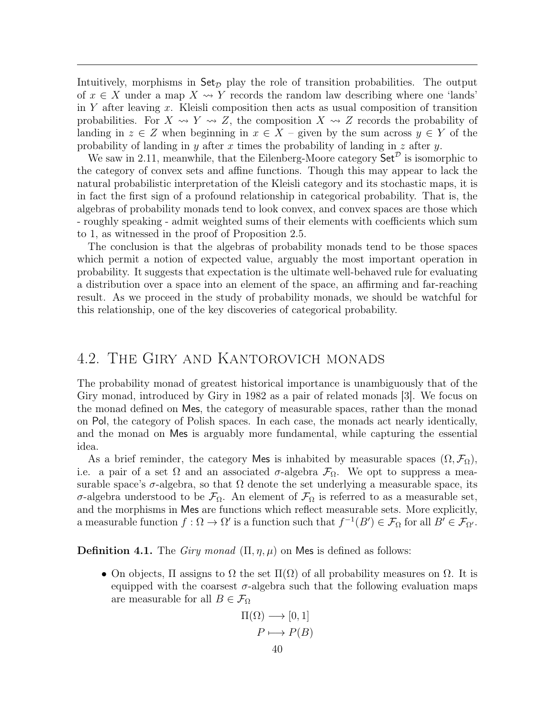Intuitively, morphisms in  $\mathsf{Set}_{\mathcal{D}}$  play the role of transition probabilities. The output of  $x \in X$  under a map  $X \rightsquigarrow Y$  records the random law describing where one 'lands' in Y after leaving x. Kleisli composition then acts as usual composition of transition probabilities. For  $X \rightsquigarrow Y \rightsquigarrow Z$ , the composition  $X \rightsquigarrow Z$  records the probability of landing in  $z \in Z$  when beginning in  $x \in X$  – given by the sum across  $y \in Y$  of the probability of landing in y after x times the probability of landing in z after y.

We saw in [2.11,](#page-25-2) meanwhile, that the Eilenberg-Moore category  $\mathsf{Set}^{\mathcal{D}}$  is isomorphic to the category of convex sets and affine functions. Though this may appear to lack the natural probabilistic interpretation of the Kleisli category and its stochastic maps, it is in fact the first sign of a profound relationship in categorical probability. That is, the algebras of probability monads tend to look convex, and convex spaces are those which - roughly speaking - admit weighted sums of their elements with coefficients which sum to 1, as witnessed in the proof of Proposition [2.5.](#page-24-1)

The conclusion is that the algebras of probability monads tend to be those spaces which permit a notion of expected value, arguably the most important operation in probability. It suggests that expectation is the ultimate well-behaved rule for evaluating a distribution over a space into an element of the space, an affirming and far-reaching result. As we proceed in the study of probability monads, we should be watchful for this relationship, one of the key discoveries of categorical probability.

### <span id="page-40-0"></span>4.2. The Giry and Kantorovich monads

The probability monad of greatest historical importance is unambiguously that of the Giry monad, introduced by Giry in 1982 as a pair of related monads [\[3\]](#page-44-3). We focus on the monad defined on Mes, the category of measurable spaces, rather than the monad on Pol, the category of Polish spaces. In each case, the monads act nearly identically, and the monad on Mes is arguably more fundamental, while capturing the essential idea.

As a brief reminder, the category Mes is inhabited by measurable spaces  $(\Omega, \mathcal{F}_{\Omega}),$ i.e. a pair of a set  $\Omega$  and an associated  $\sigma$ -algebra  $\mathcal{F}_{\Omega}$ . We opt to suppress a measurable space's  $\sigma$ -algebra, so that  $\Omega$  denote the set underlying a measurable space, its σ-algebra understood to be  $\mathcal{F}_{\Omega}$ . An element of  $\mathcal{F}_{\Omega}$  is referred to as a measurable set, and the morphisms in Mes are functions which reflect measurable sets. More explicitly, a measurable function  $f: \Omega \to \Omega'$  is a function such that  $f^{-1}(B') \in \mathcal{F}_{\Omega}$  for all  $B' \in \mathcal{F}_{\Omega'}$ .

**Definition 4.1.** The *Giry monad*  $(\Pi, \eta, \mu)$  on Mes is defined as follows:

• On objects,  $\Pi$  assigns to  $\Omega$  the set  $\Pi(\Omega)$  of all probability measures on  $\Omega$ . It is equipped with the coarsest  $\sigma$ -algebra such that the following evaluation maps are measurable for all  $B \in \mathcal{F}_{\Omega}$ 

$$
\Pi(\Omega) \longrightarrow [0, 1]
$$

$$
P \longmapsto P(B)
$$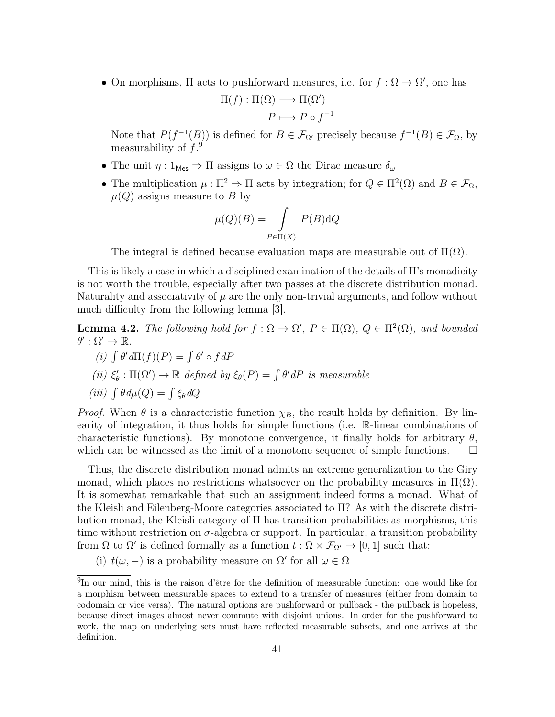• On morphisms,  $\Pi$  acts to pushforward measures, i.e. for  $f : \Omega \to \Omega'$ , one has  $\Pi(f) : \Pi(\Omega) \longrightarrow \Pi(\Omega')$ 

$$
P \longmapsto P \circ f^{-1}
$$

Note that  $P(f^{-1}(B))$  is defined for  $B \in \mathcal{F}_{\Omega'}$  precisely because  $f^{-1}(B) \in \mathcal{F}_{\Omega}$ , by measurability of  $f.^9$  $f.^9$ 

- The unit  $\eta: 1_{\text{Mes}} \Rightarrow \Pi$  assigns to  $\omega \in \Omega$  the Dirac measure  $\delta_{\omega}$
- The multiplication  $\mu : \Pi^2 \Rightarrow \Pi$  acts by integration; for  $Q \in \Pi^2(\Omega)$  and  $B \in \mathcal{F}_{\Omega}$ ,  $\mu(Q)$  assigns measure to B by

$$
\mu(Q)(B) = \int_{P \in \Pi(X)} P(B) \mathrm{d}Q
$$

The integral is defined because evaluation maps are measurable out of  $\Pi(\Omega)$ .

This is likely a case in which a disciplined examination of the details of Π's monadicity is not worth the trouble, especially after two passes at the discrete distribution monad. Naturality and associativity of  $\mu$  are the only non-trivial arguments, and follow without much difficulty from the following lemma [\[3\]](#page-44-3).

**Lemma 4.2.** The following hold for  $f : \Omega \to \Omega'$ ,  $P \in \Pi(\Omega)$ ,  $Q \in \Pi^2(\Omega)$ , and bounded  $\theta':\Omega'\to\mathbb{R}.$ 

$$
(i) \int \theta' d\Pi(f)(P) = \int \theta' \circ f dP
$$

(ii)  $\xi'_{\theta} : \Pi(\Omega') \to \mathbb{R}$  defined by  $\xi_{\theta}(P) = \int \theta' dP$  is measurable

$$
(iii) \int \theta \, d\mu(Q) = \int \xi_{\theta} \, dQ
$$

*Proof.* When  $\theta$  is a characteristic function  $\chi_B$ , the result holds by definition. By linearity of integration, it thus holds for simple functions (i.e. R-linear combinations of characteristic functions). By monotone convergence, it finally holds for arbitrary  $\theta$ , which can be witnessed as the limit of a monotone sequence of simple functions.  $\Box$ 

Thus, the discrete distribution monad admits an extreme generalization to the Giry monad, which places no restrictions whatsoever on the probability measures in  $\Pi(\Omega)$ . It is somewhat remarkable that such an assignment indeed forms a monad. What of the Kleisli and Eilenberg-Moore categories associated to Π? As with the discrete distribution monad, the Kleisli category of  $\Pi$  has transition probabilities as morphisms, this time without restriction on  $\sigma$ -algebra or support. In particular, a transition probability from  $\Omega$  to  $\Omega'$  is defined formally as a function  $t : \Omega \times \mathcal{F}_{\Omega'} \to [0,1]$  such that:

(i)  $t(\omega, -)$  is a probability measure on  $\Omega'$  for all  $\omega \in \Omega$ 

<span id="page-41-0"></span><sup>9</sup> In our mind, this is the raison d'être for the definition of measurable function: one would like for a morphism between measurable spaces to extend to a transfer of measures (either from domain to codomain or vice versa). The natural options are pushforward or pullback - the pullback is hopeless, because direct images almost never commute with disjoint unions. In order for the pushforward to work, the map on underlying sets must have reflected measurable subsets, and one arrives at the definition.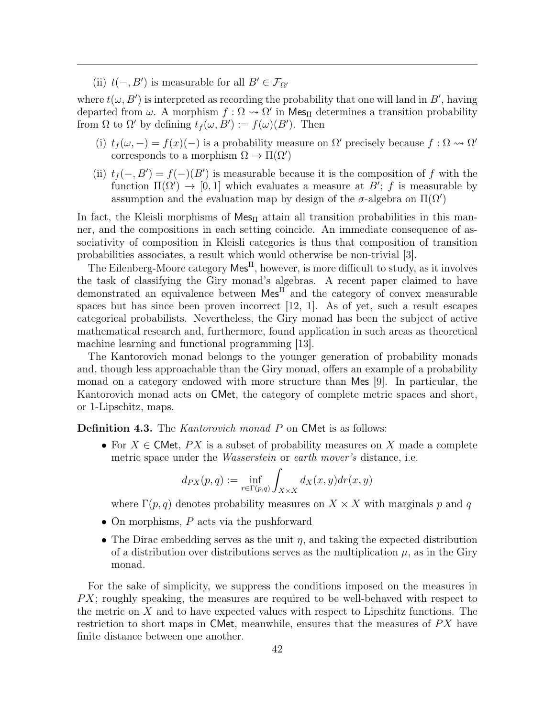(ii)  $t(-, B')$  is measurable for all  $B' \in \mathcal{F}_{\Omega'}$ 

where  $t(\omega, B')$  is interpreted as recording the probability that one will land in B', having departed from  $\omega$ . A morphism  $f : \Omega \leadsto \Omega'$  in Mes<sub>II</sub> determines a transition probability from  $\Omega$  to  $\Omega'$  by defining  $t_f(\omega, B') := f(\omega)(B')$ . Then

- (i)  $t_f(\omega, -) = f(x)(-)$  is a probability measure on  $\Omega'$  precisely because  $f : \Omega \leadsto \Omega'$ corresponds to a morphism  $\Omega \to \Pi(\Omega')$
- (ii)  $t_f(-, B') = f(-)(B')$  is measurable because it is the composition of f with the function  $\Pi(\Omega') \to [0, 1]$  which evaluates a measure at B'; f is measurable by assumption and the evaluation map by design of the  $\sigma$ -algebra on  $\Pi(\Omega')$

In fact, the Kleisli morphisms of  $\text{Mes}_{\Pi}$  attain all transition probabilities in this manner, and the compositions in each setting coincide. An immediate consequence of associativity of composition in Kleisli categories is thus that composition of transition probabilities associates, a result which would otherwise be non-trivial [\[3\]](#page-44-3).

The Eilenberg-Moore category  $\mathsf{Mes}^{\Pi}$ , however, is more difficult to study, as it involves the task of classifying the Giry monad's algebras. A recent paper claimed to have demonstrated an equivalence between  $\mathsf{Mes}^{\Pi}$  and the category of convex measurable spaces but has since been proven incorrect [\[12,](#page-44-12) [1\]](#page-44-13). As of yet, such a result escapes categorical probabilists. Nevertheless, the Giry monad has been the subject of active mathematical research and, furthermore, found application in such areas as theoretical machine learning and functional programming [\[13\]](#page-44-14).

The Kantorovich monad belongs to the younger generation of probability monads and, though less approachable than the Giry monad, offers an example of a probability monad on a category endowed with more structure than Mes [\[9\]](#page-44-1). In particular, the Kantorovich monad acts on CMet, the category of complete metric spaces and short, or 1-Lipschitz, maps.

Definition 4.3. The Kantorovich monad P on CMet is as follows:

• For  $X \in \mathsf{CMet}$ ,  $PX$  is a subset of probability measures on X made a complete metric space under the *Wasserstein* or *earth mover's* distance, i.e.

$$
d_{PX}(p,q) := \inf_{r \in \Gamma(p,q)} \int_{X \times X} d_X(x,y) dr(x,y)
$$

where  $\Gamma(p,q)$  denotes probability measures on  $X \times X$  with marginals p and q

- On morphisms,  $P$  acts via the pushforward
- The Dirac embedding serves as the unit  $\eta$ , and taking the expected distribution of a distribution over distributions serves as the multiplication  $\mu$ , as in the Giry monad.

For the sake of simplicity, we suppress the conditions imposed on the measures in  $PX$ ; roughly speaking, the measures are required to be well-behaved with respect to the metric on X and to have expected values with respect to Lipschitz functions. The restriction to short maps in CMet, meanwhile, ensures that the measures of  $PX$  have finite distance between one another.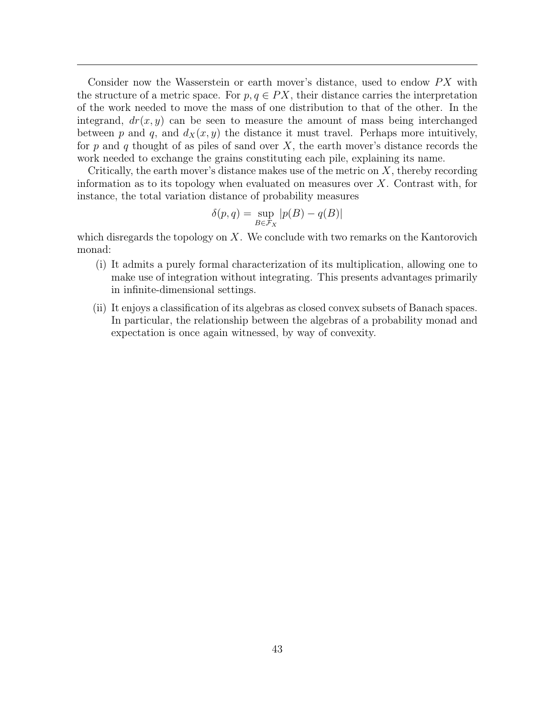Consider now the Wasserstein or earth mover's distance, used to endow  $PX$  with the structure of a metric space. For  $p, q \in PX$ , their distance carries the interpretation of the work needed to move the mass of one distribution to that of the other. In the integrand,  $dr(x, y)$  can be seen to measure the amount of mass being interchanged between p and q, and  $d_X(x, y)$  the distance it must travel. Perhaps more intuitively, for p and q thought of as piles of sand over  $X$ , the earth mover's distance records the work needed to exchange the grains constituting each pile, explaining its name.

Critically, the earth mover's distance makes use of the metric on  $X$ , thereby recording information as to its topology when evaluated on measures over  $X$ . Contrast with, for instance, the total variation distance of probability measures

$$
\delta(p, q) = \sup_{B \in \mathcal{F}_X} |p(B) - q(B)|
$$

which disregards the topology on  $X$ . We conclude with two remarks on the Kantorovich monad:

- (i) It admits a purely formal characterization of its multiplication, allowing one to make use of integration without integrating. This presents advantages primarily in infinite-dimensional settings.
- (ii) It enjoys a classification of its algebras as closed convex subsets of Banach spaces. In particular, the relationship between the algebras of a probability monad and expectation is once again witnessed, by way of convexity.